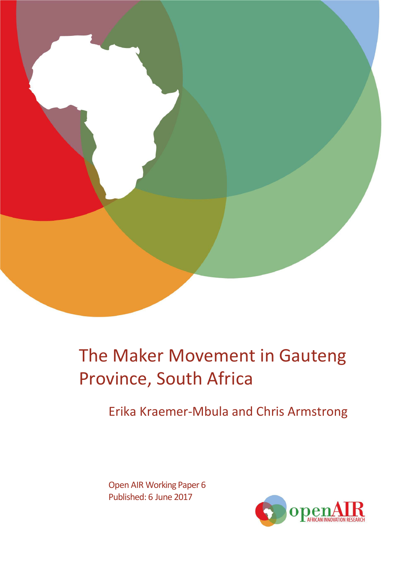

# The Maker Movement in Gauteng Province, South Africa

Erika Kraemer-Mbula and Chris Armstrong

Open AIR Working Paper 6 Published: 6 June 2017

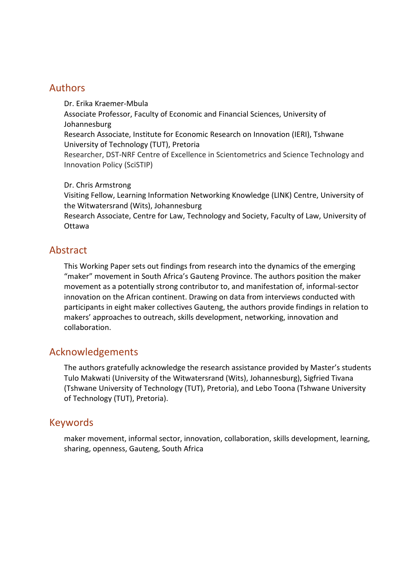## Authors

Dr. Erika Kraemer-Mbula Associate Professor, Faculty of Economic and Financial Sciences, University of Johannesburg Research Associate, Institute for Economic Research on Innovation (IERI), Tshwane University of Technology (TUT), Pretoria Researcher, DST-NRF Centre of Excellence in Scientometrics and Science Technology and Innovation Policy (SciSTIP)

#### Dr. Chris Armstrong

Visiting Fellow, Learning Information Networking Knowledge (LINK) Centre, University of the Witwatersrand (Wits), Johannesburg

Research Associate, Centre for Law, Technology and Society, Faculty of Law, University of Ottawa

## Abstract

This Working Paper sets out findings from research into the dynamics of the emerging "maker" movement in South Africa's Gauteng Province. The authors position the maker movement as a potentially strong contributor to, and manifestation of, informal-sector innovation on the African continent. Drawing on data from interviews conducted with participants in eight maker collectives Gauteng, the authors provide findings in relation to makers' approaches to outreach, skills development, networking, innovation and collaboration.

## Acknowledgements

The authors gratefully acknowledge the research assistance provided by Master's students Tulo Makwati (University of the Witwatersrand (Wits), Johannesburg), Sigfried Tivana (Tshwane University of Technology (TUT), Pretoria), and Lebo Toona (Tshwane University of Technology (TUT), Pretoria).

## Keywords

maker movement, informal sector, innovation, collaboration, skills development, learning, sharing, openness, Gauteng, South Africa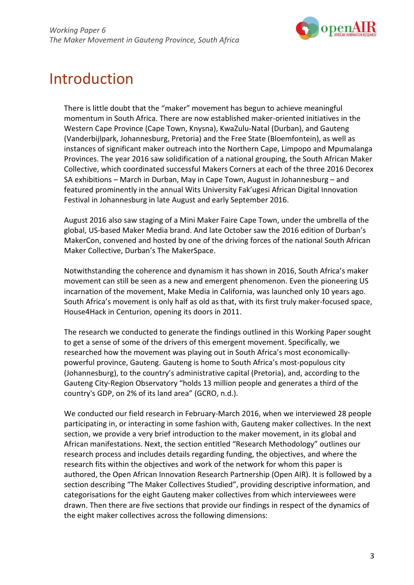

## Introduction

There is little doubt that the "maker" movement has begun to achieve meaningful momentum in South Africa. There are now established maker-oriented initiatives in the Western Cape Province (Cape Town, Knysna), KwaZulu-Natal (Durban), and Gauteng (Vanderbijlpark, Johannesburg, Pretoria) and the Free State (Bloemfontein), as well as instances of significant maker outreach into the Northern Cape, Limpopo and Mpumalanga Provinces. The year 2016 saw solidification of a national grouping, the South African Maker Collective, which coordinated successful Makers Corners at each of the three 2016 Decorex SA exhibitions – March in Durban, May in Cape Town, August in Johannesburg – and featured prominently in the annual Wits University Fak'ugesi African Digital Innovation Festival in Johannesburg in late August and early September 2016.

August 2016 also saw staging of a Mini Maker Faire Cape Town, under the umbrella of the global, US-based Maker Media brand. And late October saw the 2016 edition of Durban's MakerCon, convened and hosted by one of the driving forces of the national South African Maker Collective, Durban's The MakerSpace.

Notwithstanding the coherence and dynamism it has shown in 2016, South Africa's maker movement can still be seen as a new and emergent phenomenon. Even the pioneering US incarnation of the movement, Make Media in California, was launched only 10 years ago. South Africa's movement is only half as old as that, with its first truly maker-focused space, House4Hack in Centurion, opening its doors in 2011.

The research we conducted to generate the findings outlined in this Working Paper sought to get a sense of some of the drivers of this emergent movement. Specifically, we researched how the movement was playing out in South Africa's most economicallypowerful province, Gauteng. Gauteng is home to South Africa's most-populous city (Johannesburg), to the country's administrative capital (Pretoria), and, according to the Gauteng City-Region Observatory "holds 13 million people and generates a third of the country's GDP, on 2% of its land area" (GCRO, n.d.).

We conducted our field research in February-March 2016, when we interviewed 28 people participating in, or interacting in some fashion with, Gauteng maker collectives. In the next section, we provide a very brief introduction to the maker movement, in its global and African manifestations. Next, the section entitled "Research Methodology" outlines our research process and includes details regarding funding, the objectives, and where the research fits within the objectives and work of the network for whom this paper is authored, the Open African Innovation Research Partnership (Open AIR). It is followed by a section describing "The Maker Collectives Studied", providing descriptive information, and categorisations for the eight Gauteng maker collectives from which interviewees were drawn. Then there are five sections that provide our findings in respect of the dynamics of the eight maker collectives across the following dimensions: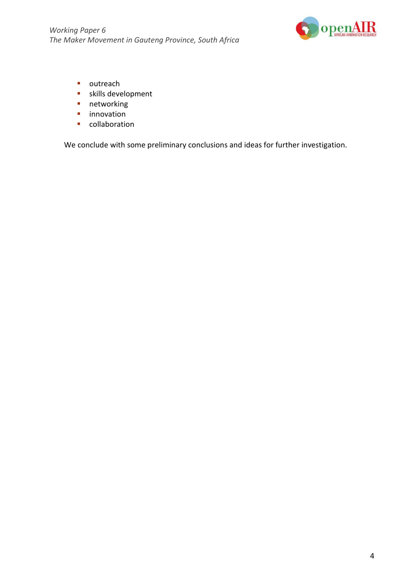

- outreach
- skills development
- **networking**
- **n** innovation
- **Collaboration**

We conclude with some preliminary conclusions and ideas for further investigation.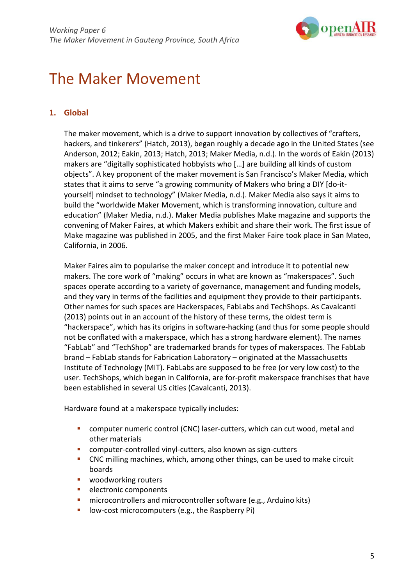

## The Maker Movement

## **1. Global**

The maker movement, which is a drive to support innovation by collectives of "crafters, hackers, and tinkerers" (Hatch, 2013), began roughly a decade ago in the United States (see Anderson, 2012; Eakin, 2013; Hatch, 2013; Maker Media, n.d.). In the words of Eakin (2013) makers are "digitally sophisticated hobbyists who […] are building all kinds of custom objects". A key proponent of the maker movement is San Francisco's Maker Media, which states that it aims to serve "a growing community of Makers who bring a DIY [do-ityourself] mindset to technology" (Maker Media, n.d.). Maker Media also says it aims to build the "worldwide Maker Movement, which is transforming innovation, culture and education" (Maker Media, n.d.). Maker Media publishes Make magazine and supports the convening of Maker Faires, at which Makers exhibit and share their work. The first issue of Make magazine was published in 2005, and the first Maker Faire took place in San Mateo, California, in 2006.

Maker Faires aim to popularise the maker concept and introduce it to potential new makers. The core work of "making" occurs in what are known as "makerspaces". Such spaces operate according to a variety of governance, management and funding models, and they vary in terms of the facilities and equipment they provide to their participants. Other names for such spaces are Hackerspaces, FabLabs and TechShops. As Cavalcanti (2013) points out in an account of the history of these terms, the oldest term is "hackerspace", which has its origins in software-hacking (and thus for some people should not be conflated with a makerspace, which has a strong hardware element). The names "FabLab" and "TechShop" are trademarked brands for types of makerspaces. The FabLab brand – FabLab stands for Fabrication Laboratory – originated at the Massachusetts Institute of Technology (MIT). FabLabs are supposed to be free (or very low cost) to the user. TechShops, which began in California, are for-profit makerspace franchises that have been established in several US cities (Cavalcanti, 2013).

Hardware found at a makerspace typically includes:

- computer numeric control (CNC) laser-cutters, which can cut wood, metal and other materials
- **E** computer-controlled vinyl-cutters, also known as sign-cutters
- CNC milling machines, which, among other things, can be used to make circuit boards
- woodworking routers
- **electronic components**
- **E** microcontrollers and microcontroller software (e.g., Arduino kits)
- **-** low-cost microcomputers (e.g., the Raspberry Pi)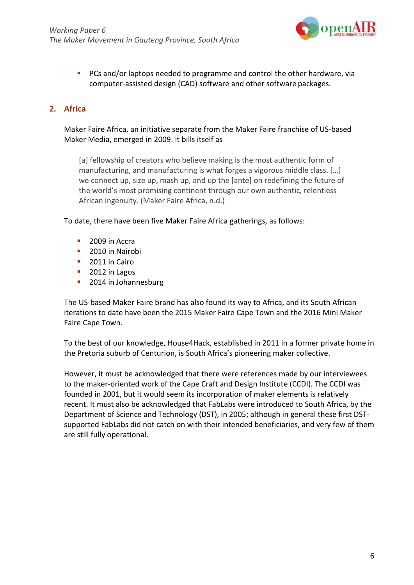

**PCs and/or laptops needed to programme and control the other hardware, via** computer-assisted design (CAD) software and other software packages.

## **2. Africa**

#### [Maker Faire Africa,](https://en.wikipedia.org/wiki/Maker_Faire_Africa) an initiative separate from the Maker Faire franchise of US-based Maker Media, emerged in 2009. It bills itself as

[a] fellowship of creators who believe making is the most authentic form of manufacturing, and manufacturing is what forges a vigorous middle class. […] we connect up, size up, mash up, and up the [ante] on redefining the future of the world's most promising continent through our own authentic, relentless African ingenuity. (Maker Faire Africa, n.d.)

To date, there have been five Maker Faire Africa gatherings, as follows:

- 2009 in [Accra](https://en.wikipedia.org/wiki/Accra)
- 2010 in [Nairobi](https://en.wikipedia.org/wiki/Nairobi)
- 2011 in [Cairo](https://en.wikipedia.org/wiki/Cairo)
- 2012 in Lagos
- **2014 in Johannesburg**

The US-based Maker Faire brand has also found its way to Africa, and its South African iterations to date have been the 2015 Maker Faire Cape Town and the 2016 Mini Maker Faire Cape Town.

To the best of our knowledge, House4Hack, established in 2011 in a former private home in the Pretoria suburb of Centurion, is South Africa's pioneering maker collective.

However, it must be acknowledged that there were references made by our interviewees to the maker-oriented work of the Cape Craft and Design Institute (CCDI). The CCDI was founded in 2001, but it would seem its incorporation of maker elements is relatively recent. It must also be acknowledged that FabLabs were introduced to South Africa, by the Department of Science and Technology (DST), in 2005; although in general these first DSTsupported FabLabs did not catch on with their intended beneficiaries, and very few of them are still fully operational.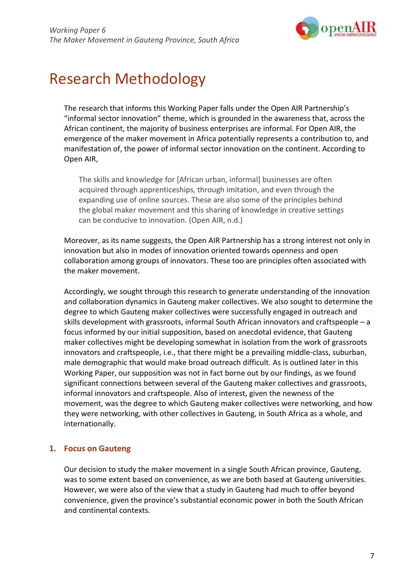

## Research Methodology

The research that informs this Working Paper falls under the Open AIR Partnership's "informal sector innovation" theme, which is grounded in the awareness that, across the African continent, the majority of business enterprises are informal. For Open AIR, the emergence of the maker movement in Africa potentially represents a contribution to, and manifestation of, the power of informal sector innovation on the continent. According to Open AIR,

The skills and knowledge for [African urban, informal] businesses are often acquired through apprenticeships, through imitation, and even through the expanding use of online sources. These are also some of the principles behind the global maker movement and this sharing of knowledge in creative settings can be conducive to innovation. (Open AIR, n.d.)

Moreover, as its name suggests, the Open AIR Partnership has a strong interest not only in innovation but also in modes of innovation oriented towards openness and open collaboration among groups of innovators. These too are principles often associated with the maker movement.

Accordingly, we sought through this research to generate understanding of the innovation and collaboration dynamics in Gauteng maker collectives. We also sought to determine the degree to which Gauteng maker collectives were successfully engaged in outreach and skills development with grassroots, informal South African innovators and craftspeople – a focus informed by our initial supposition, based on anecdotal evidence, that Gauteng maker collectives might be developing somewhat in isolation from the work of grassroots innovators and craftspeople, i.e., that there might be a prevailing middle-class, suburban, male demographic that would make broad outreach difficult. As is outlined later in this Working Paper, our supposition was not in fact borne out by our findings, as we found significant connections between several of the Gauteng maker collectives and grassroots, informal innovators and craftspeople. Also of interest, given the newness of the movement, was the degree to which Gauteng maker collectives were networking, and how they were networking, with other collectives in Gauteng, in South Africa as a whole, and internationally.

## **1. Focus on Gauteng**

Our decision to study the maker movement in a single South African province, Gauteng, was to some extent based on convenience, as we are both based at Gauteng universities. However, we were also of the view that a study in Gauteng had much to offer beyond convenience, given the province's substantial economic power in both the South African and continental contexts.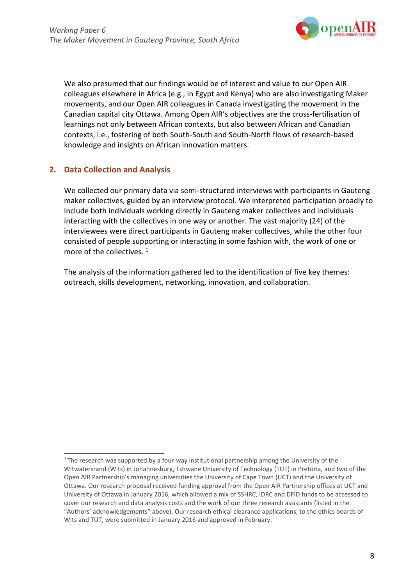

We also presumed that our findings would be of interest and value to our Open AIR colleagues elsewhere in Africa (e.g., in Egypt and Kenya) who are also investigating Maker movements, and our Open AIR colleagues in Canada investigating the movement in the Canadian capital city Ottawa. Among Open AIR's objectives are the cross-fertilisation of learnings not only between African contexts, but also between African and Canadian contexts, i.e., fostering of both South-South and South-North flows of research-based knowledge and insights on African innovation matters.

## **2. Data Collection and Analysis**

We collected our primary data via semi-structured interviews with participants in Gauteng maker collectives, guided by an interview protocol. We interpreted participation broadly to include both individuals working directly in Gauteng maker collectives and individuals interacting with the collectives in one way or another. The vast majority (24) of the interviewees were direct participants in Gauteng maker collectives, while the other four consisted of people supporting or interacting in some fashion with, the work of one or more of the collectives.<sup>1</sup>

The analysis of the information gathered led to the identification of five key themes: outreach, skills development, networking, innovation, and collaboration.

 $1$ The research was supported by a four-way institutional partnership among the University of the Witwatersrand (Wits) in Johannesburg, Tshwane University of Technology (TUT) in Pretoria, and two of the Open AIR Partnership's managing universities the University of Cape Town (UCT) and the University of Ottawa. Our research proposal received funding approval from the Open AIR Partnership offices at UCT and University of Ottawa in January 2016, which allowed a mix of SSHRC, IDRC and DFID funds to be accessed to cover our research and data analysis costs and the work of our three research assistants (listed in the "Authors' acknowledgements" above). Our research ethical clearance applications, to the ethics boards of Wits and TUT, were submitted in January 2016 and approved in February.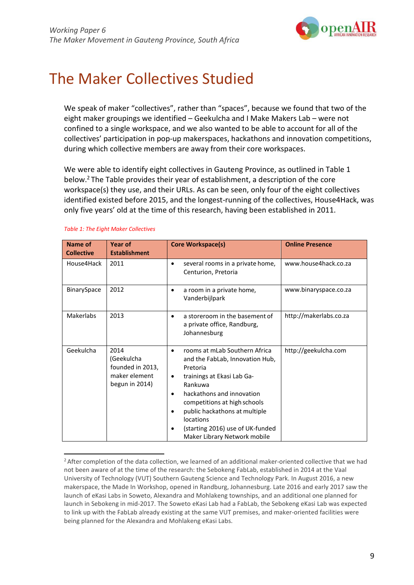

## The Maker Collectives Studied

We speak of maker "collectives", rather than "spaces", because we found that two of the eight maker groupings we identified – Geekulcha and I Make Makers Lab – were not confined to a single workspace, and we also wanted to be able to account for all of the collectives' participation in pop-up makerspaces, hackathons and innovation competitions, during which collective members are away from their core workspaces.

We were able to identify eight collectives in Gauteng Province, as outlined in Table 1 below.2 The Table provides their year of establishment, a description of the core workspace(s) they use, and their URLs. As can be seen, only four of the eight collectives identified existed before 2015, and the longest-running of the collectives, House4Hack, was only five years' old at the time of this research, having been established in 2011.

| <b>Name of</b><br><b>Collective</b> | Year of<br><b>Establishment</b>                                           | <b>Core Workspace(s)</b>                                                                                                                                                                                                                                                                                          | <b>Online Presence</b> |
|-------------------------------------|---------------------------------------------------------------------------|-------------------------------------------------------------------------------------------------------------------------------------------------------------------------------------------------------------------------------------------------------------------------------------------------------------------|------------------------|
| House4Hack                          | 2011                                                                      | several rooms in a private home,<br>Centurion, Pretoria                                                                                                                                                                                                                                                           | www.house4hack.co.za   |
| BinarySpace                         | 2012                                                                      | a room in a private home,<br>Vanderbijlpark                                                                                                                                                                                                                                                                       | www.binaryspace.co.za  |
| <b>Makerlabs</b>                    | 2013                                                                      | a storeroom in the basement of<br>$\bullet$<br>a private office, Randburg,<br>Johannesburg                                                                                                                                                                                                                        | http://makerlabs.co.za |
| Geekulcha                           | 2014<br>(Geekulcha<br>founded in 2013,<br>maker element<br>begun in 2014) | rooms at mLab Southern Africa<br>and the FabLab, Innovation Hub,<br>Pretoria<br>trainings at Ekasi Lab Ga-<br>$\bullet$<br>Rankuwa<br>hackathons and innovation<br>competitions at high schools<br>public hackathons at multiple<br>locations<br>(starting 2016) use of UK-funded<br>Maker Library Network mobile | http://geekulcha.com   |

#### *Table 1: The Eight Maker Collectives*

<sup>&</sup>lt;sup>2</sup> After completion of the data collection, we learned of an additional maker-oriented collective that we had not been aware of at the time of the research: the Sebokeng FabLab, established in 2014 at the Vaal University of Technology (VUT) Southern Gauteng Science and Technology Park. In August 2016, a new makerspace, the Made In Workshop, opened in Randburg, Johannesburg. Late 2016 and early 2017 saw the launch of eKasi Labs in Soweto, Alexandra and Mohlakeng townships, and an additional one planned for launch in Sebokeng in mid-2017. The Soweto eKasi Lab had a FabLab, the Sebokeng eKasi Lab was expected to link up with the FabLab already existing at the same VUT premises, and maker-oriented facilities were being planned for the Alexandra and Mohlakeng eKasi Labs.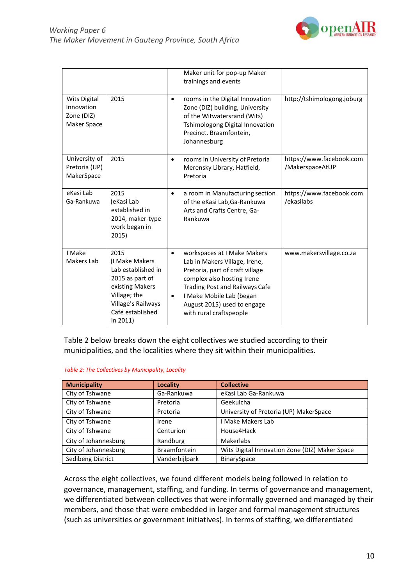

|                                                                |                                                                                                                                                          |                        | Maker unit for pop-up Maker<br>trainings and events                                                                                                                                                                                                          |                                             |
|----------------------------------------------------------------|----------------------------------------------------------------------------------------------------------------------------------------------------------|------------------------|--------------------------------------------------------------------------------------------------------------------------------------------------------------------------------------------------------------------------------------------------------------|---------------------------------------------|
| <b>Wits Digital</b><br>Innovation<br>Zone (DIZ)<br>Maker Space | 2015                                                                                                                                                     | $\bullet$              | rooms in the Digital Innovation<br>Zone (DIZ) building, University<br>of the Witwatersrand (Wits)<br>Tshimologong Digital Innovation<br>Precinct, Braamfontein,<br>Johannesburg                                                                              | http://tshimologong.joburg                  |
| University of<br>Pretoria (UP)<br>MakerSpace                   | 2015                                                                                                                                                     | $\bullet$              | rooms in University of Pretoria<br>Merensky Library, Hatfield,<br>Pretoria                                                                                                                                                                                   | https://www.facebook.com<br>/MakerspaceAtUP |
| eKasi Lab<br>Ga-Rankuwa                                        | 2015<br>(eKasi Lab<br>established in<br>2014, maker-type<br>work began in<br>2015)                                                                       | $\bullet$              | a room in Manufacturing section<br>of the eKasi Lab, Ga-Rankuwa<br>Arts and Crafts Centre, Ga-<br>Rankuwa                                                                                                                                                    | https://www.facebook.com<br>/ekasilabs      |
| I Make<br>Makers Lab                                           | 2015<br>(I Make Makers<br>Lab established in<br>2015 as part of<br>existing Makers<br>Village; the<br>Village's Railways<br>Café established<br>in 2011) | $\bullet$<br>$\bullet$ | workspaces at I Make Makers<br>Lab in Makers Village, Irene,<br>Pretoria, part of craft village<br>complex also hosting Irene<br><b>Trading Post and Railways Cafe</b><br>I Make Mobile Lab (began<br>August 2015) used to engage<br>with rural craftspeople | www.makersvillage.co.za                     |

Table 2 below breaks down the eight collectives we studied according to their municipalities, and the localities where they sit within their municipalities.

| <b>Municipality</b>  | Locality            | <b>Collective</b>                              |
|----------------------|---------------------|------------------------------------------------|
| City of Tshwane      | Ga-Rankuwa          | eKasi Lab Ga-Rankuwa                           |
| City of Tshwane      | Pretoria            | Geekulcha                                      |
| City of Tshwane      | Pretoria            | University of Pretoria (UP) MakerSpace         |
| City of Tshwane      | Irene               | <b>Make Makers Lab</b>                         |
| City of Tshwane      | Centurion           | House4Hack                                     |
| City of Johannesburg | Randburg            | Makerlabs                                      |
| City of Johannesburg | <b>Braamfontein</b> | Wits Digital Innovation Zone (DIZ) Maker Space |
| Sedibeng District    | Vanderbijlpark      | BinarySpace                                    |

Across the eight collectives, we found different models being followed in relation to governance, management, staffing, and funding. In terms of governance and management, we differentiated between collectives that were informally governed and managed by their members, and those that were embedded in larger and formal management structures (such as universities or government initiatives). In terms of staffing, we differentiated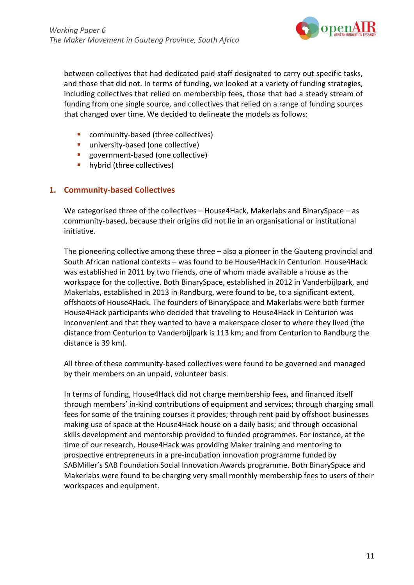

between collectives that had dedicated paid staff designated to carry out specific tasks, and those that did not. In terms of funding, we looked at a variety of funding strategies, including collectives that relied on membership fees, those that had a steady stream of funding from one single source, and collectives that relied on a range of funding sources that changed over time. We decided to delineate the models as follows:

- community-based (three collectives)
- **university-based (one collective)**
- **government-based (one collective)**
- **hybrid (three collectives)**

#### **1. Community-based Collectives**

We categorised three of the collectives – House4Hack, Makerlabs and BinarySpace – as community-based, because their origins did not lie in an organisational or institutional initiative.

The pioneering collective among these three – also a pioneer in the Gauteng provincial and South African national contexts – was found to be House4Hack in Centurion. House4Hack was established in 2011 by two friends, one of whom made available a house as the workspace for the collective. Both BinarySpace, established in 2012 in Vanderbijlpark, and Makerlabs, established in 2013 in Randburg, were found to be, to a significant extent, offshoots of House4Hack. The founders of BinarySpace and Makerlabs were both former House4Hack participants who decided that traveling to House4Hack in Centurion was inconvenient and that they wanted to have a makerspace closer to where they lived (the distance from Centurion to Vanderbijlpark is 113 km; and from Centurion to Randburg the distance is 39 km).

All three of these community-based collectives were found to be governed and managed by their members on an unpaid, volunteer basis.

In terms of funding, House4Hack did not charge membership fees, and financed itself through members' in-kind contributions of equipment and services; through charging small fees for some of the training courses it provides; through rent paid by offshoot businesses making use of space at the House4Hack house on a daily basis; and through occasional skills development and mentorship provided to funded programmes. For instance, at the time of our research, House4Hack was providing Maker training and mentoring to prospective entrepreneurs in a pre-incubation innovation programme funded by SABMiller's SAB Foundation Social Innovation Awards programme. Both BinarySpace and Makerlabs were found to be charging very small monthly membership fees to users of their workspaces and equipment.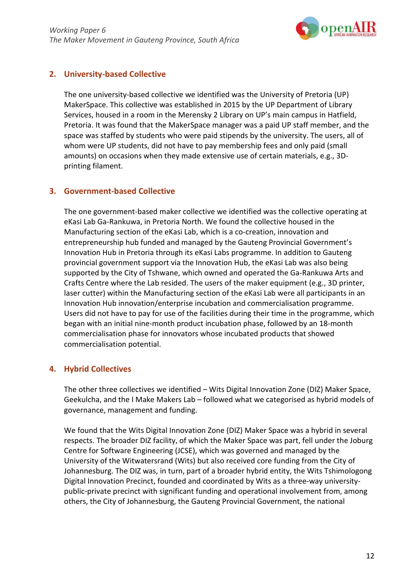

## **2. University-based Collective**

The one university-based collective we identified was the University of Pretoria (UP) MakerSpace. This collective was established in 2015 by the UP Department of Library Services, housed in a room in the Merensky 2 Library on UP's main campus in Hatfield, Pretoria. It was found that the MakerSpace manager was a paid UP staff member, and the space was staffed by students who were paid stipends by the university. The users, all of whom were UP students, did not have to pay membership fees and only paid (small amounts) on occasions when they made extensive use of certain materials, e.g., 3Dprinting filament.

## **3. Government-based Collective**

The one government-based maker collective we identified was the collective operating at eKasi Lab Ga-Rankuwa, in Pretoria North. We found the collective housed in the Manufacturing section of the eKasi Lab, which is a co-creation, innovation and entrepreneurship hub funded and managed by the Gauteng Provincial Government's Innovation Hub in Pretoria through its eKasi Labs programme. In addition to Gauteng provincial government support via the Innovation Hub, the eKasi Lab was also being supported by the City of Tshwane, which owned and operated the Ga-Rankuwa Arts and Crafts Centre where the Lab resided. The users of the maker equipment (e.g., 3D printer, laser cutter) within the Manufacturing section of the eKasi Lab were all participants in an Innovation Hub innovation/enterprise incubation and commercialisation programme. Users did not have to pay for use of the facilities during their time in the programme, which began with an initial nine-month product incubation phase, followed by an 18-month commercialisation phase for innovators whose incubated products that showed commercialisation potential.

## **4. Hybrid Collectives**

The other three collectives we identified – Wits Digital Innovation Zone (DIZ) Maker Space, Geekulcha, and the I Make Makers Lab – followed what we categorised as hybrid models of governance, management and funding.

We found that the Wits Digital Innovation Zone (DIZ) Maker Space was a hybrid in several respects. The broader DIZ facility, of which the Maker Space was part, fell under the Joburg Centre for Software Engineering (JCSE), which was governed and managed by the University of the Witwatersrand (Wits) but also received core funding from the City of Johannesburg. The DIZ was, in turn, part of a broader hybrid entity, the Wits Tshimologong Digital Innovation Precinct, founded and coordinated by Wits as a three-way universitypublic-private precinct with significant funding and operational involvement from, among others, the City of Johannesburg, the Gauteng Provincial Government, the national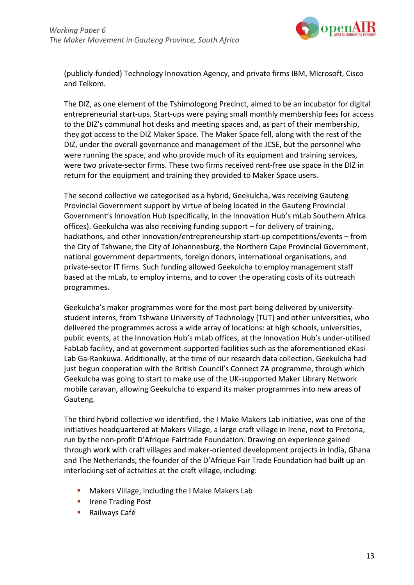

(publicly-funded) Technology Innovation Agency, and private firms IBM, Microsoft, Cisco and Telkom.

The DIZ, as one element of the Tshimologong Precinct, aimed to be an incubator for digital entrepreneurial start-ups. Start-ups were paying small monthly membership fees for access to the DIZ's communal hot desks and meeting spaces and, as part of their membership, they got access to the DIZ Maker Space. The Maker Space fell, along with the rest of the DIZ, under the overall governance and management of the JCSE, but the personnel who were running the space, and who provide much of its equipment and training services, were two private-sector firms. These two firms received rent-free use space in the DIZ in return for the equipment and training they provided to Maker Space users.

The second collective we categorised as a hybrid, Geekulcha, was receiving Gauteng Provincial Government support by virtue of being located in the Gauteng Provincial Government's Innovation Hub (specifically, in the Innovation Hub's mLab Southern Africa offices). Geekulcha was also receiving funding support – for delivery of training, hackathons, and other innovation/entrepreneurship start-up competitions/events – from the City of Tshwane, the City of Johannesburg, the Northern Cape Provincial Government, national government departments, foreign donors, international organisations, and private-sector IT firms. Such funding allowed Geekulcha to employ management staff based at the mLab, to employ interns, and to cover the operating costs of its outreach programmes.

Geekulcha's maker programmes were for the most part being delivered by universitystudent interns, from Tshwane University of Technology (TUT) and other universities, who delivered the programmes across a wide array of locations: at high schools, universities, public events, at the Innovation Hub's mLab offices, at the Innovation Hub's under-utilised FabLab facility, and at government-supported facilities such as the aforementioned eKasi Lab Ga-Rankuwa. Additionally, at the time of our research data collection, Geekulcha had just begun cooperation with the British Council's Connect ZA programme, through which Geekulcha was going to start to make use of the UK-supported Maker Library Network mobile caravan, allowing Geekulcha to expand its maker programmes into new areas of Gauteng.

The third hybrid collective we identified, the I Make Makers Lab initiative, was one of the initiatives headquartered at Makers Village, a large craft village in Irene, next to Pretoria, run by the non-profit D'Afrique Fairtrade Foundation. Drawing on experience gained through work with craft villages and maker-oriented development projects in India, Ghana and The Netherlands, the founder of the D'Afrique Fair Trade Foundation had built up an interlocking set of activities at the craft village, including:

- Makers Village, including the I Make Makers Lab
- Irene Trading Post
- **Railways Café**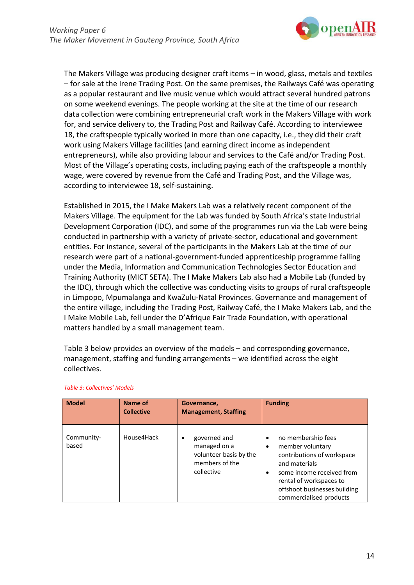

The Makers Village was producing designer craft items – in wood, glass, metals and textiles – for sale at the Irene Trading Post. On the same premises, the Railways Café was operating as a popular restaurant and live music venue which would attract several hundred patrons on some weekend evenings. The people working at the site at the time of our research data collection were combining entrepreneurial craft work in the Makers Village with work for, and service delivery to, the Trading Post and Railway Café. According to interviewee 18, the craftspeople typically worked in more than one capacity, i.e., they did their craft work using Makers Village facilities (and earning direct income as independent entrepreneurs), while also providing labour and services to the Café and/or Trading Post. Most of the Village's operating costs, including paying each of the craftspeople a monthly wage, were covered by revenue from the Café and Trading Post, and the Village was, according to interviewee 18, self-sustaining.

Established in 2015, the I Make Makers Lab was a relatively recent component of the Makers Village. The equipment for the Lab was funded by South Africa's state Industrial Development Corporation (IDC), and some of the programmes run via the Lab were being conducted in partnership with a variety of private-sector, educational and government entities. For instance, several of the participants in the Makers Lab at the time of our research were part of a national-government-funded apprenticeship programme falling under the Media, Information and Communication Technologies Sector Education and Training Authority (MICT SETA). The I Make Makers Lab also had a Mobile Lab (funded by the IDC), through which the collective was conducting visits to groups of rural craftspeople in Limpopo, Mpumalanga and KwaZulu-Natal Provinces. Governance and management of the entire village, including the Trading Post, Railway Café, the I Make Makers Lab, and the I Make Mobile Lab, fell under the D'Afrique Fair Trade Foundation, with operational matters handled by a small management team.

Table 3 below provides an overview of the models – and corresponding governance, management, staffing and funding arrangements – we identified across the eight collectives.

| <b>Model</b>        | Name of<br><b>Collective</b> | Governance,<br><b>Management, Staffing</b>                                                  | <b>Funding</b>                                                                                                                                                                                                        |
|---------------------|------------------------------|---------------------------------------------------------------------------------------------|-----------------------------------------------------------------------------------------------------------------------------------------------------------------------------------------------------------------------|
| Community-<br>based | House4Hack                   | governed and<br>٠<br>managed on a<br>volunteer basis by the<br>members of the<br>collective | no membership fees<br>$\bullet$<br>member voluntary<br>contributions of workspace<br>and materials<br>some income received from<br>rental of workspaces to<br>offshoot businesses building<br>commercialised products |

#### *Table 3: Collectives' Models*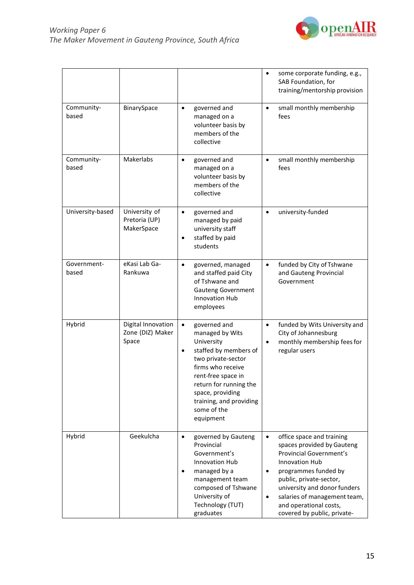

|                      |                                                 |                                                                                                                                                                                                                                                                        | some corporate funding, e.g.,<br>$\bullet$<br>SAB Foundation, for<br>training/mentorship provision                                                                                                                                                                                                                                    |
|----------------------|-------------------------------------------------|------------------------------------------------------------------------------------------------------------------------------------------------------------------------------------------------------------------------------------------------------------------------|---------------------------------------------------------------------------------------------------------------------------------------------------------------------------------------------------------------------------------------------------------------------------------------------------------------------------------------|
| Community-<br>based  | BinarySpace                                     | governed and<br>$\bullet$<br>managed on a<br>volunteer basis by<br>members of the<br>collective                                                                                                                                                                        | small monthly membership<br>$\bullet$<br>fees                                                                                                                                                                                                                                                                                         |
| Community-<br>based  | Makerlabs                                       | governed and<br>$\bullet$<br>managed on a<br>volunteer basis by<br>members of the<br>collective                                                                                                                                                                        | small monthly membership<br>$\bullet$<br>fees                                                                                                                                                                                                                                                                                         |
| University-based     | University of<br>Pretoria (UP)<br>MakerSpace    | governed and<br>$\bullet$<br>managed by paid<br>university staff<br>staffed by paid<br>$\bullet$<br>students                                                                                                                                                           | university-funded<br>$\bullet$                                                                                                                                                                                                                                                                                                        |
| Government-<br>based | eKasi Lab Ga-<br>Rankuwa                        | governed, managed<br>$\bullet$<br>and staffed paid City<br>of Tshwane and<br><b>Gauteng Government</b><br><b>Innovation Hub</b><br>employees                                                                                                                           | funded by City of Tshwane<br>$\bullet$<br>and Gauteng Provincial<br>Government                                                                                                                                                                                                                                                        |
| Hybrid               | Digital Innovation<br>Zone (DIZ) Maker<br>Space | governed and<br>$\bullet$<br>managed by Wits<br>University<br>staffed by members of<br>$\bullet$<br>two private-sector<br>firms who receive<br>rent-free space in<br>return for running the<br>space, providing<br>training, and providing<br>some of the<br>equipment | funded by Wits University and<br>$\bullet$<br>City of Johannesburg<br>monthly membership fees for<br>$\bullet$<br>regular users                                                                                                                                                                                                       |
| Hybrid               | Geekulcha                                       | governed by Gauteng<br>$\bullet$<br>Provincial<br>Government's<br><b>Innovation Hub</b><br>managed by a<br>$\bullet$<br>management team<br>composed of Tshwane<br>University of<br>Technology (TUT)<br>graduates                                                       | office space and training<br>$\bullet$<br>spaces provided by Gauteng<br><b>Provincial Government's</b><br><b>Innovation Hub</b><br>programmes funded by<br>$\bullet$<br>public, private-sector,<br>university and donor funders<br>salaries of management team,<br>$\bullet$<br>and operational costs,<br>covered by public, private- |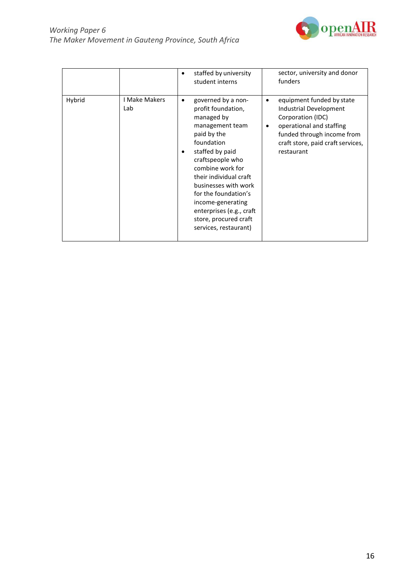

|        |                             | staffed by university<br>student interns                                                                                                                                                                                                                                                                                                       | sector, university and donor<br>funders                                                                                                                                                                 |
|--------|-----------------------------|------------------------------------------------------------------------------------------------------------------------------------------------------------------------------------------------------------------------------------------------------------------------------------------------------------------------------------------------|---------------------------------------------------------------------------------------------------------------------------------------------------------------------------------------------------------|
| Hybrid | <b>I Make Makers</b><br>Lab | governed by a non-<br>profit foundation,<br>managed by<br>management team<br>paid by the<br>foundation<br>staffed by paid<br>craftspeople who<br>combine work for<br>their individual craft<br>businesses with work<br>for the foundation's<br>income-generating<br>enterprises (e.g., craft<br>store, procured craft<br>services, restaurant) | equipment funded by state<br>٠<br>Industrial Development<br>Corporation (IDC)<br>operational and staffing<br>$\bullet$<br>funded through income from<br>craft store, paid craft services,<br>restaurant |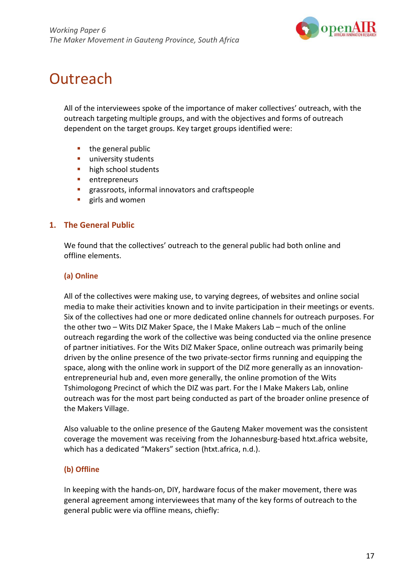

## **Outreach**

All of the interviewees spoke of the importance of maker collectives' outreach, with the outreach targeting multiple groups, and with the objectives and forms of outreach dependent on the target groups. Key target groups identified were:

- $\blacksquare$  the general public
- university students
- **high school students**
- entrepreneurs
- grassroots, informal innovators and craftspeople
- **girls and women**

### **1. The General Public**

We found that the collectives' outreach to the general public had both online and offline elements.

### **(a) Online**

All of the collectives were making use, to varying degrees, of websites and online social media to make their activities known and to invite participation in their meetings or events. Six of the collectives had one or more dedicated online channels for outreach purposes. For the other two – Wits DIZ Maker Space, the I Make Makers Lab – much of the online outreach regarding the work of the collective was being conducted via the online presence of partner initiatives. For the Wits DIZ Maker Space, online outreach was primarily being driven by the online presence of the two private-sector firms running and equipping the space, along with the online work in support of the DIZ more generally as an innovationentrepreneurial hub and, even more generally, the online promotion of the Wits Tshimologong Precinct of which the DIZ was part. For the I Make Makers Lab, online outreach was for the most part being conducted as part of the broader online presence of the Makers Village.

Also valuable to the online presence of the Gauteng Maker movement was the consistent coverage the movement was receiving from the Johannesburg-based htxt.africa website, which has a dedicated "Makers" section (htxt.africa, n.d.).

## **(b) Offline**

In keeping with the hands-on, DIY, hardware focus of the maker movement, there was general agreement among interviewees that many of the key forms of outreach to the general public were via offline means, chiefly: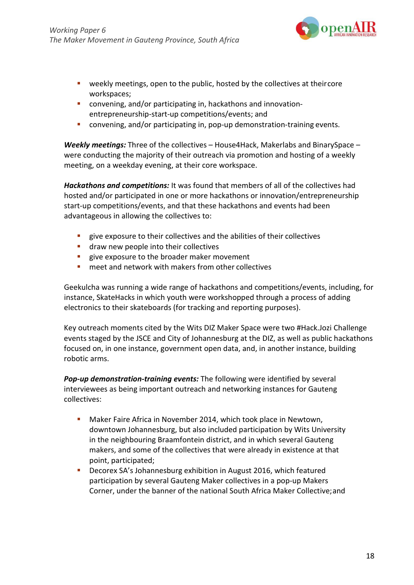

- **•** weekly meetings, open to the public, hosted by the collectives at theircore workspaces;
- convening, and/or participating in, hackathons and innovationentrepreneurship-start-up competitions/events; and
- convening, and/or participating in, pop-up demonstration-training events.

*Weekly meetings:* Three of the collectives – House4Hack, Makerlabs and BinarySpace – were conducting the majority of their outreach via promotion and hosting of a weekly meeting, on a weekday evening, at their core workspace.

*Hackathons and competitions:* It was found that members of all of the collectives had hosted and/or participated in one or more hackathons or innovation/entrepreneurship start-up competitions/events, and that these hackathons and events had been advantageous in allowing the collectives to:

- give exposure to their collectives and the abilities of their collectives
- **draw new people into their collectives**
- give exposure to the broader maker movement
- **EXT** meet and network with makers from other collectives

Geekulcha was running a wide range of hackathons and competitions/events, including, for instance, SkateHacks in which youth were workshopped through a process of adding electronics to their skateboards (for tracking and reporting purposes).

Key outreach moments cited by the Wits DIZ Maker Space were two #Hack.Jozi Challenge events staged by the JSCE and City of Johannesburg at the DIZ, as well as public hackathons focused on, in one instance, government open data, and, in another instance, building robotic arms.

*Pop-up demonstration-training events:* The following were identified by several interviewees as being important outreach and networking instances for Gauteng collectives:

- Maker Faire Africa in November 2014, which took place in Newtown, downtown Johannesburg, but also included participation by Wits University in the neighbouring Braamfontein district, and in which several Gauteng makers, and some of the collectives that were already in existence at that point, participated;
- Decorex SA's Johannesburg exhibition in August 2016, which featured participation by several Gauteng Maker collectives in a pop-up Makers Corner, under the banner of the national South Africa Maker Collective;and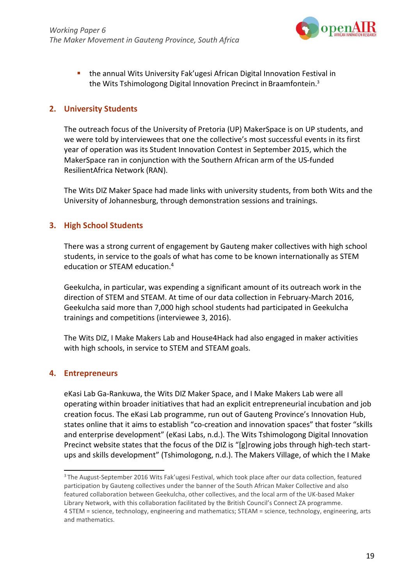

 the annual Wits University Fak'ugesi African Digital Innovation Festival in the Wits Tshimologong Digital Innovation Precinct in Braamfontein.3

### **2. University Students**

The outreach focus of the University of Pretoria (UP) MakerSpace is on UP students, and we were told by interviewees that one the collective's most successful events in its first year of operation was its Student Innovation Contest in September 2015, which the MakerSpace ran in conjunction with the Southern African arm of the US-funded ResilientAfrica Network (RAN).

The Wits DIZ Maker Space had made links with university students, from both Wits and the University of Johannesburg, through demonstration sessions and trainings.

### **3. High School Students**

There was a strong current of engagement by Gauteng maker collectives with high school students, in service to the goals of what has come to be known internationally as STEM education or STEAM education.4

Geekulcha, in particular, was expending a significant amount of its outreach work in the direction of STEM and STEAM. At time of our data collection in February-March 2016, Geekulcha said more than 7,000 high school students had participated in Geekulcha trainings and competitions (interviewee 3, 2016).

The Wits DIZ, I Make Makers Lab and House4Hack had also engaged in maker activities with high schools, in service to STEM and STEAM goals.

#### **4. Entrepreneurs**

eKasi Lab Ga-Rankuwa, the Wits DIZ Maker Space, and I Make Makers Lab were all operating within broader initiatives that had an explicit entrepreneurial incubation and job creation focus. The eKasi Lab programme, run out of Gauteng Province's Innovation Hub, states online that it aims to establish "co-creation and innovation spaces" that foster "skills and enterprise development" (eKasi Labs, n.d.). The Wits Tshimologong Digital Innovation Precinct website states that the focus of the DIZ is "[g]rowing jobs through high-tech startups and skills development" (Tshimologong, n.d.). The Makers Village, of which the I Make

<sup>&</sup>lt;sup>3</sup> The August-September 2016 Wits Fak'ugesi Festival, which took place after our data collection, featured participation by Gauteng collectives under the banner of the South African Maker Collective and also featured collaboration between Geekulcha, other collectives, and the local arm of the UK-based Maker Library Network, with this collaboration facilitated by the British Council's Connect ZA programme. 4 STEM = science, technology, engineering and mathematics; STEAM = science, technology, engineering, arts and mathematics.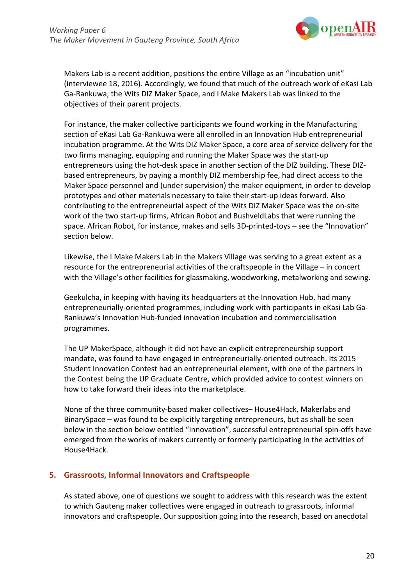

Makers Lab is a recent addition, positions the entire Village as an "incubation unit" (interviewee 18, 2016). Accordingly, we found that much of the outreach work of eKasi Lab Ga-Rankuwa, the Wits DIZ Maker Space, and I Make Makers Lab was linked to the objectives of their parent projects.

For instance, the maker collective participants we found working in the Manufacturing section of eKasi Lab Ga-Rankuwa were all enrolled in an Innovation Hub entrepreneurial incubation programme. At the Wits DIZ Maker Space, a core area of service delivery for the two firms managing, equipping and running the Maker Space was the start-up entrepreneurs using the hot-desk space in another section of the DIZ building. These DIZbased entrepreneurs, by paying a monthly DIZ membership fee, had direct access to the Maker Space personnel and (under supervision) the maker equipment, in order to develop prototypes and other materials necessary to take their start-up ideas forward. Also contributing to the entrepreneurial aspect of the Wits DIZ Maker Space was the on-site work of the two start-up firms, African Robot and BushveldLabs that were running the space. African Robot, for instance, makes and sells 3D-printed-toys – see the "Innovation" section below.

Likewise, the I Make Makers Lab in the Makers Village was serving to a great extent as a resource for the entrepreneurial activities of the craftspeople in the Village – in concert with the Village's other facilities for glassmaking, woodworking, metalworking and sewing.

Geekulcha, in keeping with having its headquarters at the Innovation Hub, had many entrepreneurially-oriented programmes, including work with participants in eKasi Lab Ga-Rankuwa's Innovation Hub-funded innovation incubation and commercialisation programmes.

The UP MakerSpace, although it did not have an explicit entrepreneurship support mandate, was found to have engaged in entrepreneurially-oriented outreach. Its 2015 Student Innovation Contest had an entrepreneurial element, with one of the partners in the Contest being the UP Graduate Centre, which provided advice to contest winners on how to take forward their ideas into the marketplace.

None of the three community-based maker collectives– House4Hack, Makerlabs and BinarySpace – was found to be explicitly targeting entrepreneurs, but as shall be seen below in the section below entitled "Innovation", successful entrepreneurial spin-offs have emerged from the works of makers currently or formerly participating in the activities of House4Hack.

## **5. Grassroots, Informal Innovators and Craftspeople**

As stated above, one of questions we sought to address with this research was the extent to which Gauteng maker collectives were engaged in outreach to grassroots, informal innovators and craftspeople. Our supposition going into the research, based on anecdotal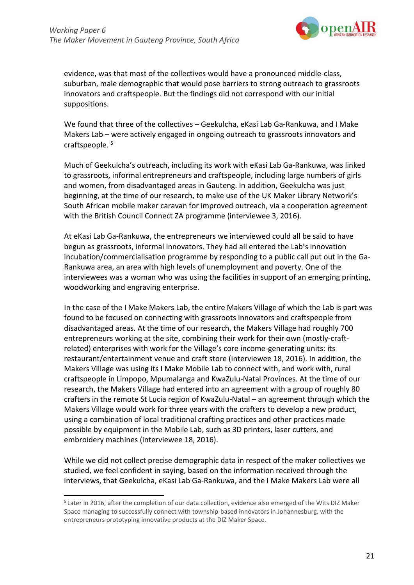

evidence, was that most of the collectives would have a pronounced middle-class, suburban, male demographic that would pose barriers to strong outreach to grassroots innovators and craftspeople. But the findings did not correspond with our initial suppositions.

We found that three of the collectives – Geekulcha, eKasi Lab Ga-Rankuwa, and I Make Makers Lab – were actively engaged in ongoing outreach to grassroots innovators and craftspeople. 5

Much of Geekulcha's outreach, including its work with eKasi Lab Ga-Rankuwa, was linked to grassroots, informal entrepreneurs and craftspeople, including large numbers of girls and women, from disadvantaged areas in Gauteng. In addition, Geekulcha was just beginning, at the time of our research, to make use of the UK Maker Library Network's South African mobile maker caravan for improved outreach, via a cooperation agreement with the British Council Connect ZA programme (interviewee 3, 2016).

At eKasi Lab Ga-Rankuwa, the entrepreneurs we interviewed could all be said to have begun as grassroots, informal innovators. They had all entered the Lab's innovation incubation/commercialisation programme by responding to a public call put out in the Ga-Rankuwa area, an area with high levels of unemployment and poverty. One of the interviewees was a woman who was using the facilities in support of an emerging printing, woodworking and engraving enterprise.

In the case of the I Make Makers Lab, the entire Makers Village of which the Lab is part was found to be focused on connecting with grassroots innovators and craftspeople from disadvantaged areas. At the time of our research, the Makers Village had roughly 700 entrepreneurs working at the site, combining their work for their own (mostly-craftrelated) enterprises with work for the Village's core income-generating units: its restaurant/entertainment venue and craft store (interviewee 18, 2016). In addition, the Makers Village was using its I Make Mobile Lab to connect with, and work with, rural craftspeople in Limpopo, Mpumalanga and KwaZulu-Natal Provinces. At the time of our research, the Makers Village had entered into an agreement with a group of roughly 80 crafters in the remote St Lucia region of KwaZulu-Natal – an agreement through which the Makers Village would work for three years with the crafters to develop a new product, using a combination of local traditional crafting practices and other practices made possible by equipment in the Mobile Lab, such as 3D printers, laser cutters, and embroidery machines (interviewee 18, 2016).

While we did not collect precise demographic data in respect of the maker collectives we studied, we feel confident in saying, based on the information received through the interviews, that Geekulcha, eKasi Lab Ga-Rankuwa, and the I Make Makers Lab were all

<sup>&</sup>lt;sup>5</sup> Later in 2016, after the completion of our data collection, evidence also emerged of the Wits DIZ Maker Space managing to successfully connect with township-based innovators in Johannesburg, with the entrepreneurs prototyping innovative products at the DIZ Maker Space.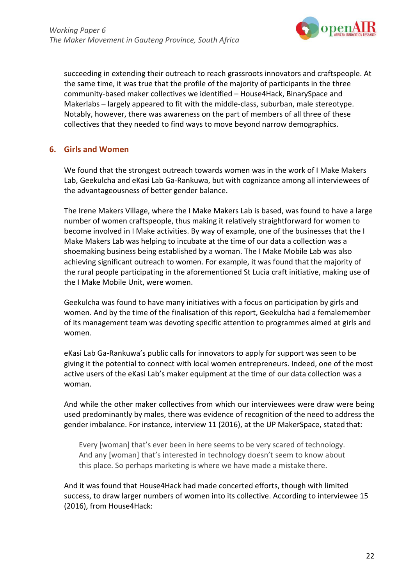

succeeding in extending their outreach to reach grassroots innovators and craftspeople. At the same time, it was true that the profile of the majority of participants in the three community-based maker collectives we identified – House4Hack, BinarySpace and Makerlabs – largely appeared to fit with the middle-class, suburban, male stereotype. Notably, however, there was awareness on the part of members of all three of these collectives that they needed to find ways to move beyond narrow demographics.

## **6. Girls and Women**

We found that the strongest outreach towards women was in the work of I Make Makers Lab, Geekulcha and eKasi Lab Ga-Rankuwa, but with cognizance among all interviewees of the advantageousness of better gender balance.

The Irene Makers Village, where the I Make Makers Lab is based, was found to have a large number of women craftspeople, thus making it relatively straightforward for women to become involved in I Make activities. By way of example, one of the businesses that the I Make Makers Lab was helping to incubate at the time of our data a collection was a shoemaking business being established by a woman. The I Make Mobile Lab was also achieving significant outreach to women. For example, it was found that the majority of the rural people participating in the aforementioned St Lucia craft initiative, making use of the I Make Mobile Unit, were women.

Geekulcha was found to have many initiatives with a focus on participation by girls and women. And by the time of the finalisation of this report, Geekulcha had a femalemember of its management team was devoting specific attention to programmes aimed at girls and women.

eKasi Lab Ga-Rankuwa's public calls for innovators to apply for support was seen to be giving it the potential to connect with local women entrepreneurs. Indeed, one of the most active users of the eKasi Lab's maker equipment at the time of our data collection was a woman.

And while the other maker collectives from which our interviewees were draw were being used predominantly by males, there was evidence of recognition of the need to address the gender imbalance. For instance, interview 11 (2016), at the UP MakerSpace, stated that:

Every [woman] that's ever been in here seems to be very scared of technology. And any [woman] that's interested in technology doesn't seem to know about this place. So perhaps marketing is where we have made a mistake there.

And it was found that House4Hack had made concerted efforts, though with limited success, to draw larger numbers of women into its collective. According to interviewee 15 (2016), from House4Hack: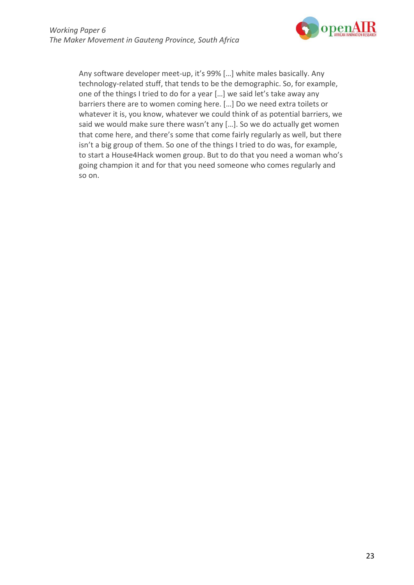

Any software developer meet-up, it's 99% […] white males basically. Any technology-related stuff, that tends to be the demographic. So, for example, one of the things I tried to do for a year […] we said let's take away any barriers there are to women coming here. […] Do we need extra toilets or whatever it is, you know, whatever we could think of as potential barriers, we said we would make sure there wasn't any […]. So we do actually get women that come here, and there's some that come fairly regularly as well, but there isn't a big group of them. So one of the things I tried to do was, for example, to start a House4Hack women group. But to do that you need a woman who's going champion it and for that you need someone who comes regularly and so on.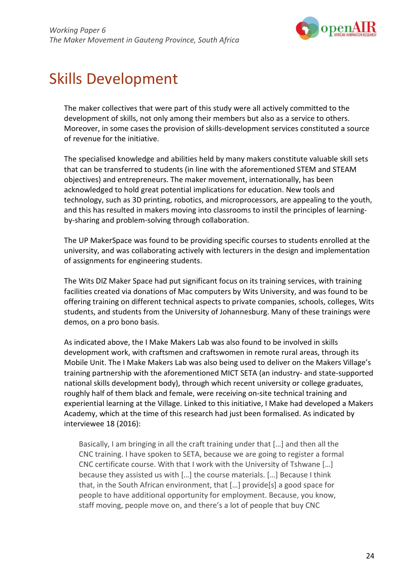

## Skills Development

The maker collectives that were part of this study were all actively committed to the development of skills, not only among their members but also as a service to others. Moreover, in some cases the provision of skills-development services constituted a source of revenue for the initiative.

The specialised knowledge and abilities held by many makers constitute valuable skill sets that can be transferred to students (in line with the aforementioned STEM and STEAM objectives) and entrepreneurs. The maker movement, internationally, has been acknowledged to hold great potential implications for education. New tools and technology, such as 3D printing, robotics, and microprocessors, are appealing to the youth, and this has resulted in makers moving into classrooms to instil the principles of learningby-sharing and problem-solving through collaboration.

The UP MakerSpace was found to be providing specific courses to students enrolled at the university, and was collaborating actively with lecturers in the design and implementation of assignments for engineering students.

The Wits DIZ Maker Space had put significant focus on its training services, with training facilities created via donations of Mac computers by Wits University, and was found to be offering training on different technical aspects to private companies, schools, colleges, Wits students, and students from the University of Johannesburg. Many of these trainings were demos, on a pro bono basis.

As indicated above, the I Make Makers Lab was also found to be involved in skills development work, with craftsmen and craftswomen in remote rural areas, through its Mobile Unit. The I Make Makers Lab was also being used to deliver on the Makers Village's training partnership with the aforementioned MICT SETA (an industry- and state-supported national skills development body), through which recent university or college graduates, roughly half of them black and female, were receiving on-site technical training and experiential learning at the Village. Linked to this initiative, I Make had developed a Makers Academy, which at the time of this research had just been formalised. As indicated by interviewee 18 (2016):

Basically, I am bringing in all the craft training under that […] and then all the CNC training. I have spoken to SETA, because we are going to register a formal CNC certificate course. With that I work with the University of Tshwane […] because they assisted us with […] the course materials. […] Because I think that, in the South African environment, that […] provide[s] a good space for people to have additional opportunity for employment. Because, you know, staff moving, people move on, and there's a lot of people that buy CNC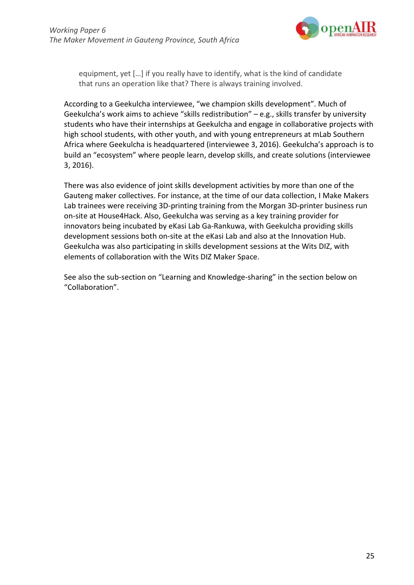

equipment, yet […] if you really have to identify, what is the kind of candidate that runs an operation like that? There is always training involved.

According to a Geekulcha interviewee, "we champion skills development". Much of Geekulcha's work aims to achieve "skills redistribution" – e.g., skills transfer by university students who have their internships at Geekulcha and engage in collaborative projects with high school students, with other youth, and with young entrepreneurs at mLab Southern Africa where Geekulcha is headquartered (interviewee 3, 2016). Geekulcha's approach is to build an "ecosystem" where people learn, develop skills, and create solutions (interviewee 3, 2016).

There was also evidence of joint skills development activities by more than one of the Gauteng maker collectives. For instance, at the time of our data collection, I Make Makers Lab trainees were receiving 3D-printing training from the Morgan 3D-printer business run on-site at House4Hack. Also, Geekulcha was serving as a key training provider for innovators being incubated by eKasi Lab Ga-Rankuwa, with Geekulcha providing skills development sessions both on-site at the eKasi Lab and also at the Innovation Hub. Geekulcha was also participating in skills development sessions at the Wits DIZ, with elements of collaboration with the Wits DIZ Maker Space.

See also the sub-section on "Learning and Knowledge-sharing" in the section below on "Collaboration".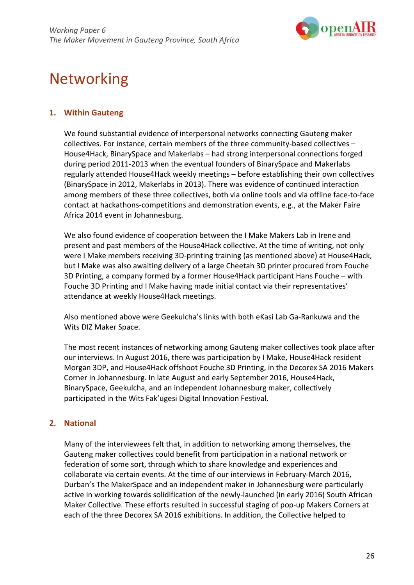

# Networking

## **1. Within Gauteng**

We found substantial evidence of interpersonal networks connecting Gauteng maker collectives. For instance, certain members of the three community-based collectives – House4Hack, BinarySpace and Makerlabs – had strong interpersonal connections forged during period 2011-2013 when the eventual founders of BinarySpace and Makerlabs regularly attended House4Hack weekly meetings – before establishing their own collectives (BinarySpace in 2012, Makerlabs in 2013). There was evidence of continued interaction among members of these three collectives, both via online tools and via offline face-to-face contact at hackathons-competitions and demonstration events, e.g., at the Maker Faire Africa 2014 event in Johannesburg.

We also found evidence of cooperation between the I Make Makers Lab in Irene and present and past members of the House4Hack collective. At the time of writing, not only were I Make members receiving 3D-printing training (as mentioned above) at House4Hack, but I Make was also awaiting delivery of a large Cheetah 3D printer procured from Fouche 3D Printing, a company formed by a former House4Hack participant Hans Fouche – with Fouche 3D Printing and I Make having made initial contact via their representatives' attendance at weekly House4Hack meetings.

Also mentioned above were Geekulcha's links with both eKasi Lab Ga-Rankuwa and the Wits DIZ Maker Space.

The most recent instances of networking among Gauteng maker collectives took place after our interviews. In August 2016, there was participation by I Make, House4Hack resident Morgan 3DP, and House4Hack offshoot Fouche 3D Printing, in the Decorex SA 2016 Makers Corner in Johannesburg. In late August and early September 2016, House4Hack, BinarySpace, Geekulcha, and an independent Johannesburg maker, collectively participated in the Wits Fak'ugesi Digital Innovation Festival.

## **2. National**

Many of the interviewees felt that, in addition to networking among themselves, the Gauteng maker collectives could benefit from participation in a national network or federation of some sort, through which to share knowledge and experiences and collaborate via certain events. At the time of our interviews in February-March 2016, Durban's The MakerSpace and an independent maker in Johannesburg were particularly active in working towards solidification of the newly-launched (in early 2016) South African Maker Collective. These efforts resulted in successful staging of pop-up Makers Corners at each of the three Decorex SA 2016 exhibitions. In addition, the Collective helped to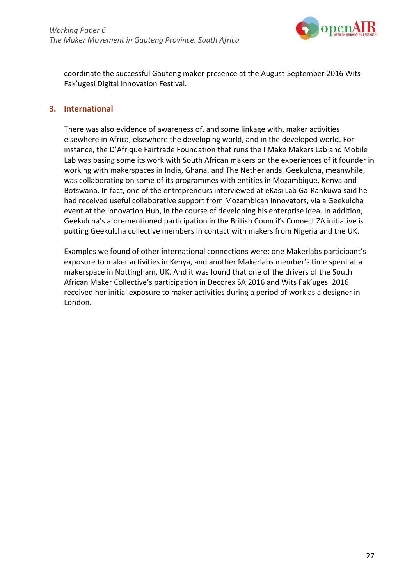

coordinate the successful Gauteng maker presence at the August-September 2016 Wits Fak'ugesi Digital Innovation Festival.

### **3. International**

There was also evidence of awareness of, and some linkage with, maker activities elsewhere in Africa, elsewhere the developing world, and in the developed world. For instance, the D'Afrique Fairtrade Foundation that runs the I Make Makers Lab and Mobile Lab was basing some its work with South African makers on the experiences of it founder in working with makerspaces in India, Ghana, and The Netherlands. Geekulcha, meanwhile, was collaborating on some of its programmes with entities in Mozambique, Kenya and Botswana. In fact, one of the entrepreneurs interviewed at eKasi Lab Ga-Rankuwa said he had received useful collaborative support from Mozambican innovators, via a Geekulcha event at the Innovation Hub, in the course of developing his enterprise idea. In addition, Geekulcha's aforementioned participation in the British Council's Connect ZA initiative is putting Geekulcha collective members in contact with makers from Nigeria and the UK.

Examples we found of other international connections were: one Makerlabs participant's exposure to maker activities in Kenya, and another Makerlabs member's time spent at a makerspace in Nottingham, UK. And it was found that one of the drivers of the South African Maker Collective's participation in Decorex SA 2016 and Wits Fak'ugesi 2016 received her initial exposure to maker activities during a period of work as a designer in London.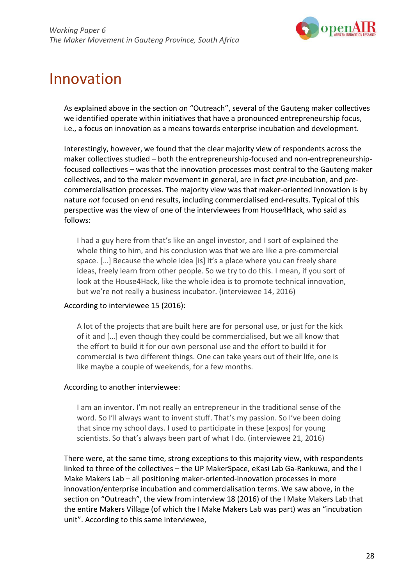

## Innovation

As explained above in the section on "Outreach", several of the Gauteng maker collectives we identified operate within initiatives that have a pronounced entrepreneurship focus, i.e., a focus on innovation as a means towards enterprise incubation and development.

Interestingly, however, we found that the clear majority view of respondents across the maker collectives studied – both the entrepreneurship-focused and non-entrepreneurshipfocused collectives – was that the innovation processes most central to the Gauteng maker collectives, and to the maker movement in general, are in fact *pre*-incubation, and *pre*commercialisation processes. The majority view was that maker-oriented innovation is by nature *not* focused on end results, including commercialised end-results. Typical of this perspective was the view of one of the interviewees from House4Hack, who said as follows:

I had a guy here from that's like an angel investor, and I sort of explained the whole thing to him, and his conclusion was that we are like a pre-commercial space. […] Because the whole idea [is] it's a place where you can freely share ideas, freely learn from other people. So we try to do this. I mean, if you sort of look at the House4Hack, like the whole idea is to promote technical innovation, but we're not really a business incubator. (interviewee 14, 2016)

#### According to interviewee 15 (2016):

A lot of the projects that are built here are for personal use, or just for the kick of it and […] even though they could be commercialised, but we all know that the effort to build it for our own personal use and the effort to build it for commercial is two different things. One can take years out of their life, one is like maybe a couple of weekends, for a few months.

#### According to another interviewee:

I am an inventor. I'm not really an entrepreneur in the traditional sense of the word. So I'll always want to invent stuff. That's my passion. So I've been doing that since my school days. I used to participate in these [expos] for young scientists. So that's always been part of what I do. (interviewee 21, 2016)

There were, at the same time, strong exceptions to this majority view, with respondents linked to three of the collectives – the UP MakerSpace, eKasi Lab Ga-Rankuwa, and the I Make Makers Lab – all positioning maker-oriented-innovation processes in more innovation/enterprise incubation and commercialisation terms. We saw above, in the section on "Outreach", the view from interview 18 (2016) of the I Make Makers Lab that the entire Makers Village (of which the I Make Makers Lab was part) was an "incubation unit". According to this same interviewee,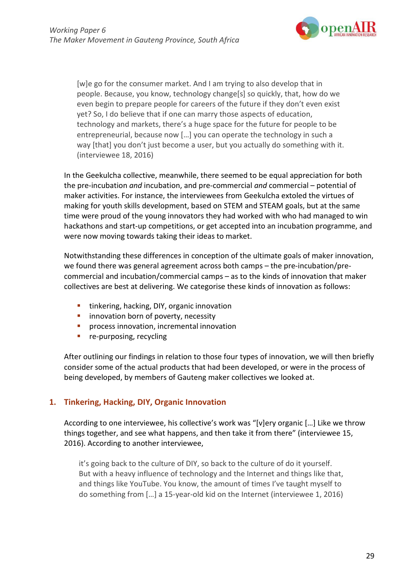

[w]e go for the consumer market. And I am trying to also develop that in people. Because, you know, technology change[s] so quickly, that, how do we even begin to prepare people for careers of the future if they don't even exist yet? So, I do believe that if one can marry those aspects of education, technology and markets, there's a huge space for the future for people to be entrepreneurial, because now […] you can operate the technology in such a way [that] you don't just become a user, but you actually do something with it. (interviewee 18, 2016)

In the Geekulcha collective, meanwhile, there seemed to be equal appreciation for both the pre-incubation *and* incubation, and pre-commercial *and* commercial – potential of maker activities. For instance, the interviewees from Geekulcha extoled the virtues of making for youth skills development, based on STEM and STEAM goals, but at the same time were proud of the young innovators they had worked with who had managed to win hackathons and start-up competitions, or get accepted into an incubation programme, and were now moving towards taking their ideas to market.

Notwithstanding these differences in conception of the ultimate goals of maker innovation, we found there was general agreement across both camps – the pre-incubation/precommercial and incubation/commercial camps – as to the kinds of innovation that maker collectives are best at delivering. We categorise these kinds of innovation as follows:

- **tinkering, hacking, DIY, organic innovation**
- innovation born of poverty, necessity
- **P** process innovation, incremental innovation
- **•** re-purposing, recycling

After outlining our findings in relation to those four types of innovation, we will then briefly consider some of the actual products that had been developed, or were in the process of being developed, by members of Gauteng maker collectives we looked at.

## **1. Tinkering, Hacking, DIY, Organic Innovation**

According to one interviewee, his collective's work was "[v]ery organic […] Like we throw things together, and see what happens, and then take it from there" (interviewee 15, 2016). According to another interviewee,

it's going back to the culture of DIY, so back to the culture of do it yourself. But with a heavy influence of technology and the Internet and things like that, and things like YouTube. You know, the amount of times I've taught myself to do something from […] a 15-year-old kid on the Internet (interviewee 1, 2016)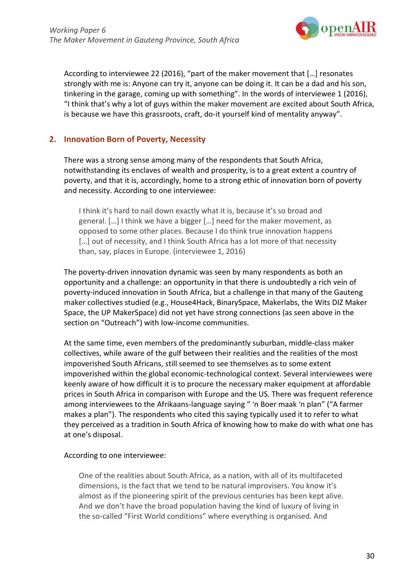

According to interviewee 22 (2016), "part of the maker movement that […] resonates strongly with me is: Anyone can try it, anyone can be doing it. It can be a dad and his son, tinkering in the garage, coming up with something". In the words of interviewee 1 (2016), "I think that's why a lot of guys within the maker movement are excited about South Africa, is because we have this grassroots, craft, do-it yourself kind of mentality anyway".

## **2. Innovation Born of Poverty, Necessity**

There was a strong sense among many of the respondents that South Africa, notwithstanding its enclaves of wealth and prosperity, is to a great extent a country of poverty, and that it is, accordingly, home to a strong ethic of innovation born of poverty and necessity. According to one interviewee:

I think it's hard to nail down exactly what it is, because it's so broad and general. […] I think we have a bigger […] need for the maker movement, as opposed to some other places. Because I do think true innovation happens [...] out of necessity, and I think South Africa has a lot more of that necessity than, say, places in Europe. (interviewee 1, 2016)

The poverty-driven innovation dynamic was seen by many respondents as both an opportunity and a challenge: an opportunity in that there is undoubtedly a rich vein of poverty-induced innovation in South Africa, but a challenge in that many of the Gauteng maker collectives studied (e.g., House4Hack, BinarySpace, Makerlabs, the Wits DIZ Maker Space, the UP MakerSpace) did not yet have strong connections (as seen above in the section on "Outreach") with low-income communities.

At the same time, even members of the predominantly suburban, middle-class maker collectives, while aware of the gulf between their realities and the realities of the most impoverished South Africans, still seemed to see themselves as to some extent impoverished within the global economic-technological context. Several interviewees were keenly aware of how difficult it is to procure the necessary maker equipment at affordable prices in South Africa in comparison with Europe and the US. There was frequent reference among interviewees to the Afrikaans-language saying " 'n Boer maak 'n plan" ("A farmer makes a plan"). The respondents who cited this saying typically used it to refer to what they perceived as a tradition in South Africa of knowing how to make do with what one has at one's disposal.

#### According to one interviewee:

One of the realities about South Africa, as a nation, with all of its multifaceted dimensions, is the fact that we tend to be natural improvisers. You know it's almost as if the pioneering spirit of the previous centuries has been kept alive. And we don't have the broad population having the kind of luxury of living in the so-called "First World conditions" where everything is organised. And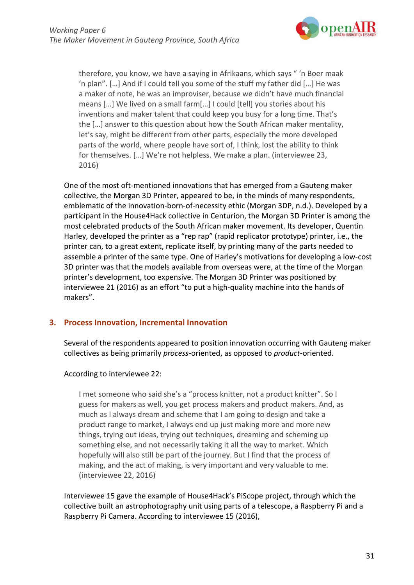

therefore, you know, we have a saying in Afrikaans, which says " 'n Boer maak 'n plan". […] And if I could tell you some of the stuff my father did […] He was a maker of note, he was an improviser, because we didn't have much financial means […] We lived on a small farm[…] I could [tell] you stories about his inventions and maker talent that could keep you busy for a long time. That's the […] answer to this question about how the South African maker mentality, let's say, might be different from other parts, especially the more developed parts of the world, where people have sort of, I think, lost the ability to think for themselves. […] We're not helpless. We make a plan. (interviewee 23, 2016)

One of the most oft-mentioned innovations that has emerged from a Gauteng maker collective, the Morgan 3D Printer, appeared to be, in the minds of many respondents, emblematic of the innovation-born-of-necessity ethic (Morgan 3DP, n.d.). Developed by a participant in the House4Hack collective in Centurion, the Morgan 3D Printer is among the most celebrated products of the South African maker movement. Its developer, Quentin Harley, developed the printer as a "rep rap" (rapid replicator prototype) printer, i.e., the printer can, to a great extent, replicate itself, by printing many of the parts needed to assemble a printer of the same type. One of Harley's motivations for developing a low-cost 3D printer was that the models available from overseas were, at the time of the Morgan printer's development, too expensive. The Morgan 3D Printer was positioned by interviewee 21 (2016) as an effort "to put a high-quality machine into the hands of makers".

## **3. Process Innovation, Incremental Innovation**

Several of the respondents appeared to position innovation occurring with Gauteng maker collectives as being primarily *process*-oriented, as opposed to *product*-oriented.

## According to interviewee 22:

I met someone who said she's a "process knitter, not a product knitter". So I guess for makers as well, you get process makers and product makers. And, as much as I always dream and scheme that I am going to design and take a product range to market, I always end up just making more and more new things, trying out ideas, trying out techniques, dreaming and scheming up something else, and not necessarily taking it all the way to market. Which hopefully will also still be part of the journey. But I find that the process of making, and the act of making, is very important and very valuable to me. (interviewee 22, 2016)

Interviewee 15 gave the example of House4Hack's PiScope project, through which the collective built an astrophotography unit using parts of a telescope, a Raspberry Pi and a Raspberry Pi Camera. According to interviewee 15 (2016),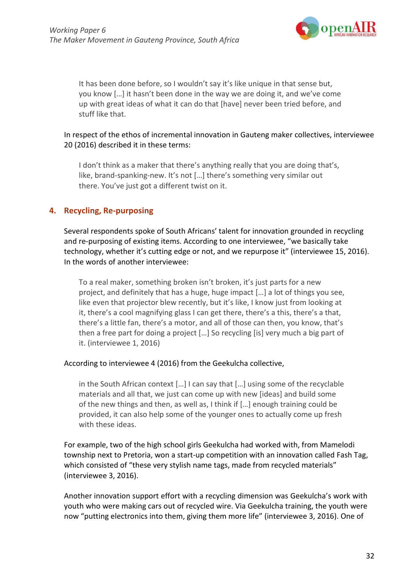

It has been done before, so I wouldn't say it's like unique in that sense but, you know […] it hasn't been done in the way we are doing it, and we've come up with great ideas of what it can do that [have] never been tried before, and stuff like that.

#### In respect of the ethos of incremental innovation in Gauteng maker collectives, interviewee 20 (2016) described it in these terms:

I don't think as a maker that there's anything really that you are doing that's, like, brand-spanking-new. It's not […] there's something very similar out there. You've just got a different twist on it.

## **4. Recycling, Re-purposing**

Several respondents spoke of South Africans' talent for innovation grounded in recycling and re-purposing of existing items. According to one interviewee, "we basically take technology, whether it's cutting edge or not, and we repurpose it" (interviewee 15, 2016). In the words of another interviewee:

To a real maker, something broken isn't broken, it's just parts for a new project, and definitely that has a huge, huge impact […] a lot of things you see, like even that projector blew recently, but it's like, I know just from looking at it, there's a cool magnifying glass I can get there, there's a this, there's a that, there's a little fan, there's a motor, and all of those can then, you know, that's then a free part for doing a project […] So recycling [is] very much a big part of it. (interviewee 1, 2016)

#### According to interviewee 4 (2016) from the Geekulcha collective,

in the South African context […] I can say that […] using some of the recyclable materials and all that, we just can come up with new [ideas] and build some of the new things and then, as well as, I think if […] enough training could be provided, it can also help some of the younger ones to actually come up fresh with these ideas.

For example, two of the high school girls Geekulcha had worked with, from Mamelodi township next to Pretoria, won a start-up competition with an innovation called Fash Tag, which consisted of "these very stylish name tags, made from recycled materials" (interviewee 3, 2016).

Another innovation support effort with a recycling dimension was Geekulcha's work with youth who were making cars out of recycled wire. Via Geekulcha training, the youth were now "putting electronics into them, giving them more life" (interviewee 3, 2016). One of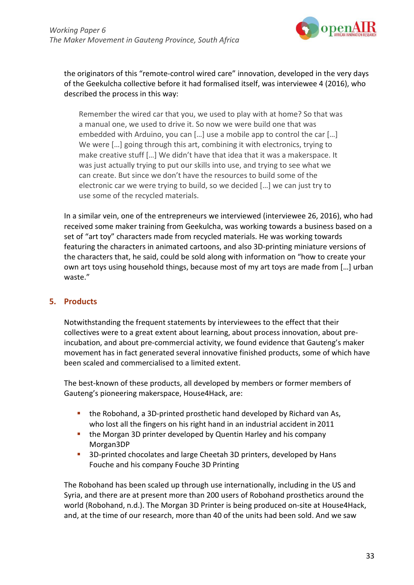

the originators of this "remote-control wired care" innovation, developed in the very days of the Geekulcha collective before it had formalised itself, was interviewee 4 (2016), who described the process in this way:

Remember the wired car that you, we used to play with at home? So that was a manual one, we used to drive it. So now we were build one that was embedded with Arduino, you can […] use a mobile app to control the car […] We were […] going through this art, combining it with electronics, trying to make creative stuff […] We didn't have that idea that it was a makerspace. It was just actually trying to put our skills into use, and trying to see what we can create. But since we don't have the resources to build some of the electronic car we were trying to build, so we decided […] we can just try to use some of the recycled materials.

In a similar vein, one of the entrepreneurs we interviewed (interviewee 26, 2016), who had received some maker training from Geekulcha, was working towards a business based on a set of "art toy" characters made from recycled materials. He was working towards featuring the characters in animated cartoons, and also 3D-printing miniature versions of the characters that, he said, could be sold along with information on "how to create your own art toys using household things, because most of my art toys are made from […] urban waste."

## **5. Products**

Notwithstanding the frequent statements by interviewees to the effect that their collectives were to a great extent about learning, about process innovation, about preincubation, and about pre-commercial activity, we found evidence that Gauteng's maker movement has in fact generated several innovative finished products, some of which have been scaled and commercialised to a limited extent.

The best-known of these products, all developed by members or former members of Gauteng's pioneering makerspace, House4Hack, are:

- the Robohand, a 3D-printed prosthetic hand developed by Richard van As, who lost all the fingers on his right hand in an industrial accident in 2011
- **the Morgan 3D printer developed by Quentin Harley and his company** Morgan3DP
- 3D-printed chocolates and large Cheetah 3D printers, developed by Hans Fouche and his company Fouche 3D Printing

The Robohand has been scaled up through use internationally, including in the US and Syria, and there are at present more than 200 users of Robohand prosthetics around the world (Robohand, n.d.). The Morgan 3D Printer is being produced on-site at House4Hack, and, at the time of our research, more than 40 of the units had been sold. And we saw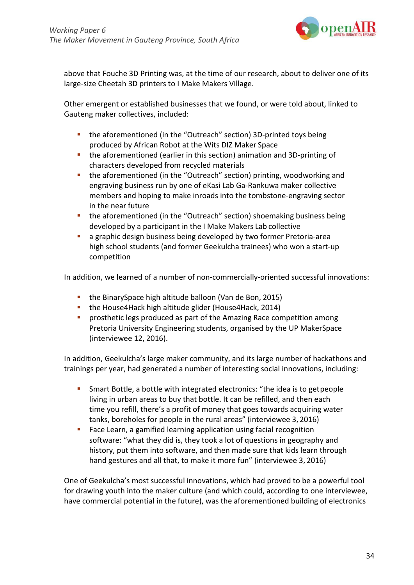

above that Fouche 3D Printing was, at the time of our research, about to deliver one of its large-size Cheetah 3D printers to I Make Makers Village.

Other emergent or established businesses that we found, or were told about, linked to Gauteng maker collectives, included:

- **the aforementioned (in the "Outreach" section) 3D-printed toys being** produced by African Robot at the Wits DIZ Maker Space
- the aforementioned (earlier in this section) animation and 3D-printing of characters developed from recycled materials
- the aforementioned (in the "Outreach" section) printing, woodworking and engraving business run by one of eKasi Lab Ga-Rankuwa maker collective members and hoping to make inroads into the tombstone-engraving sector in the near future
- **the aforementioned (in the "Outreach" section) shoemaking business being** developed by a participant in the I Make Makers Lab collective
- a graphic design business being developed by two former Pretoria-area high school students (and former Geekulcha trainees) who won a start-up competition

In addition, we learned of a number of non-commercially-oriented successful innovations:

- **the BinarySpace high altitude balloon (Van de Bon, 2015)**
- **the House4Hack high altitude glider (House4Hack, 2014)**
- **Perosthetic legs produced as part of the Amazing Race competition among** Pretoria University Engineering students, organised by the UP MakerSpace (interviewee 12, 2016).

In addition, Geekulcha's large maker community, and its large number of hackathons and trainings per year, had generated a number of interesting social innovations, including:

- Smart Bottle, a bottle with integrated electronics: "the idea is to getpeople living in urban areas to buy that bottle. It can be refilled, and then each time you refill, there's a profit of money that goes towards acquiring water tanks, boreholes for people in the rural areas" (interviewee 3, 2016)
- **Face Learn, a gamified learning application using facial recognition** software: "what they did is, they took a lot of questions in geography and history, put them into software, and then made sure that kids learn through hand gestures and all that, to make it more fun" (interviewee 3, 2016)

One of Geekulcha's most successful innovations, which had proved to be a powerful tool for drawing youth into the maker culture (and which could, according to one interviewee, have commercial potential in the future), was the aforementioned building of electronics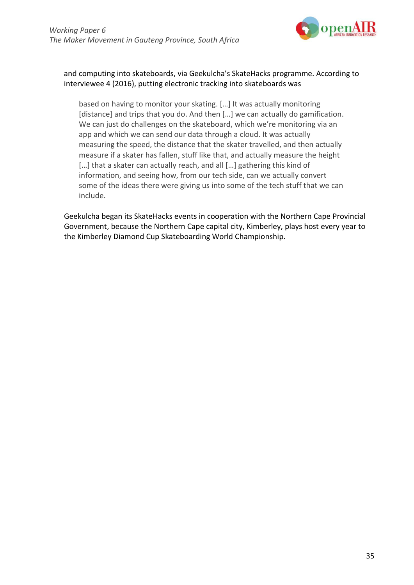

## and computing into skateboards, via Geekulcha's SkateHacks programme. According to interviewee 4 (2016), putting electronic tracking into skateboards was

based on having to monitor your skating. […] It was actually monitoring [distance] and trips that you do. And then [...] we can actually do gamification. We can just do challenges on the skateboard, which we're monitoring via an app and which we can send our data through a cloud. It was actually measuring the speed, the distance that the skater travelled, and then actually measure if a skater has fallen, stuff like that, and actually measure the height [...] that a skater can actually reach, and all [...] gathering this kind of information, and seeing how, from our tech side, can we actually convert some of the ideas there were giving us into some of the tech stuff that we can include.

Geekulcha began its SkateHacks events in cooperation with the Northern Cape Provincial Government, because the Northern Cape capital city, Kimberley, plays host every year to the Kimberley Diamond Cup Skateboarding World Championship.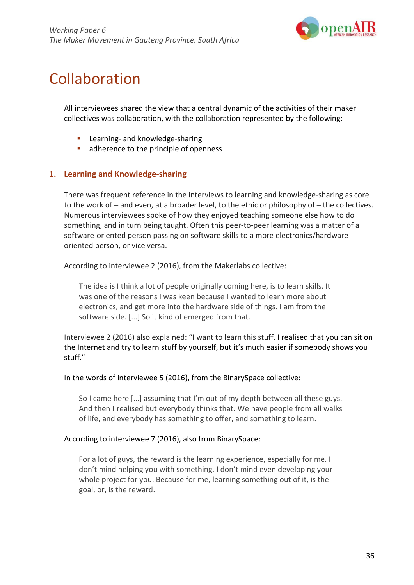

## Collaboration

All interviewees shared the view that a central dynamic of the activities of their maker collectives was collaboration, with the collaboration represented by the following:

- Learning- and knowledge-sharing
- **adherence to the principle of openness**

### **1. Learning and Knowledge-sharing**

There was frequent reference in the interviews to learning and knowledge-sharing as core to the work of – and even, at a broader level, to the ethic or philosophy of – the collectives. Numerous interviewees spoke of how they enjoyed teaching someone else how to do something, and in turn being taught. Often this peer-to-peer learning was a matter of a software-oriented person passing on software skills to a more electronics/hardwareoriented person, or vice versa.

According to interviewee 2 (2016), from the Makerlabs collective:

The idea is I think a lot of people originally coming here, is to learn skills. It was one of the reasons I was keen because I wanted to learn more about electronics, and get more into the hardware side of things. I am from the software side. [...] So it kind of emerged from that.

Interviewee 2 (2016) also explained: "I want to learn this stuff. I realised that you can sit on the Internet and try to learn stuff by yourself, but it's much easier if somebody shows you stuff."

In the words of interviewee 5 (2016), from the BinarySpace collective:

So I came here […] assuming that I'm out of my depth between all these guys. And then I realised but everybody thinks that. We have people from all walks of life, and everybody has something to offer, and something to learn.

#### According to interviewee 7 (2016), also from BinarySpace:

For a lot of guys, the reward is the learning experience, especially for me. I don't mind helping you with something. I don't mind even developing your whole project for you. Because for me, learning something out of it, is the goal, or, is the reward.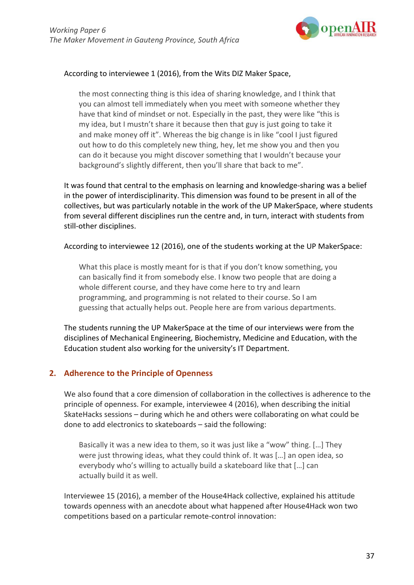

#### According to interviewee 1 (2016), from the Wits DIZ Maker Space,

the most connecting thing is this idea of sharing knowledge, and I think that you can almost tell immediately when you meet with someone whether they have that kind of mindset or not. Especially in the past, they were like "this is my idea, but I mustn't share it because then that guy is just going to take it and make money off it". Whereas the big change is in like "cool I just figured out how to do this completely new thing, hey, let me show you and then you can do it because you might discover something that I wouldn't because your background's slightly different, then you'll share that back to me".

It was found that central to the emphasis on learning and knowledge-sharing was a belief in the power of interdisciplinarity. This dimension was found to be present in all of the collectives, but was particularly notable in the work of the UP MakerSpace, where students from several different disciplines run the centre and, in turn, interact with students from still-other disciplines.

According to interviewee 12 (2016), one of the students working at the UP MakerSpace:

What this place is mostly meant for is that if you don't know something, you can basically find it from somebody else. I know two people that are doing a whole different course, and they have come here to try and learn programming, and programming is not related to their course. So I am guessing that actually helps out. People here are from various departments.

The students running the UP MakerSpace at the time of our interviews were from the disciplines of Mechanical Engineering, Biochemistry, Medicine and Education, with the Education student also working for the university's IT Department.

## **2. Adherence to the Principle of Openness**

We also found that a core dimension of collaboration in the collectives is adherence to the principle of openness. For example, interviewee 4 (2016), when describing the initial SkateHacks sessions – during which he and others were collaborating on what could be done to add electronics to skateboards – said the following:

Basically it was a new idea to them, so it was just like a "wow" thing. […] They were just throwing ideas, what they could think of. It was […] an open idea, so everybody who's willing to actually build a skateboard like that […] can actually build it as well.

Interviewee 15 (2016), a member of the House4Hack collective, explained his attitude towards openness with an anecdote about what happened after House4Hack won two competitions based on a particular remote-control innovation: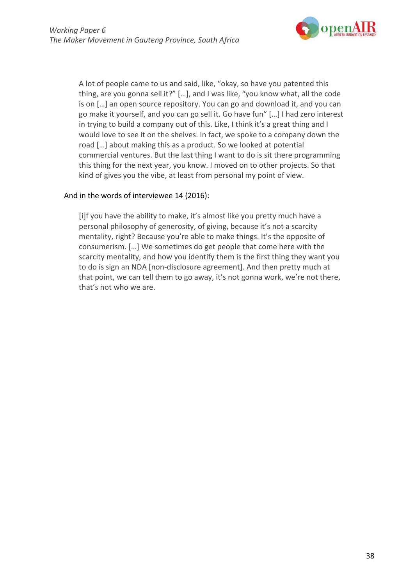

A lot of people came to us and said, like, "okay, so have you patented this thing, are you gonna sell it?" […], and I was like, "you know what, all the code is on […] an open source repository. You can go and download it, and you can go make it yourself, and you can go sell it. Go have fun" […] I had zero interest in trying to build a company out of this. Like, I think it's a great thing and I would love to see it on the shelves. In fact, we spoke to a company down the road […] about making this as a product. So we looked at potential commercial ventures. But the last thing I want to do is sit there programming this thing for the next year, you know. I moved on to other projects. So that kind of gives you the vibe, at least from personal my point of view.

#### And in the words of interviewee 14 (2016):

[i]f you have the ability to make, it's almost like you pretty much have a personal philosophy of generosity, of giving, because it's not a scarcity mentality, right? Because you're able to make things. It's the opposite of consumerism. […] We sometimes do get people that come here with the scarcity mentality, and how you identify them is the first thing they want you to do is sign an NDA [non-disclosure agreement]. And then pretty much at that point, we can tell them to go away, it's not gonna work, we're not there, that's not who we are.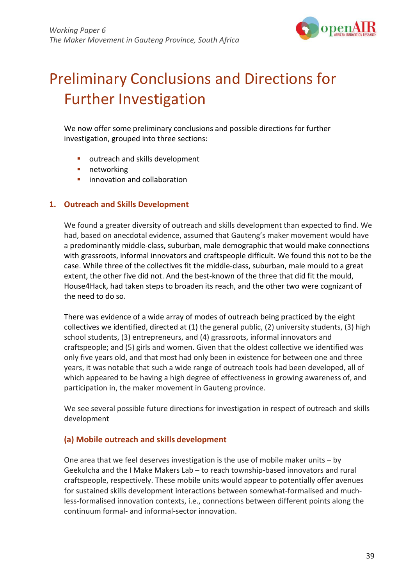

# Preliminary Conclusions and Directions for Further Investigation

We now offer some preliminary conclusions and possible directions for further investigation, grouped into three sections:

- outreach and skills development
- **networking**
- **E** innovation and collaboration

#### **1. Outreach and Skills Development**

We found a greater diversity of outreach and skills development than expected to find. We had, based on anecdotal evidence, assumed that Gauteng's maker movement would have a predominantly middle-class, suburban, male demographic that would make connections with grassroots, informal innovators and craftspeople difficult. We found this not to be the case. While three of the collectives fit the middle-class, suburban, male mould to a great extent, the other five did not. And the best-known of the three that did fit the mould, House4Hack, had taken steps to broaden its reach, and the other two were cognizant of the need to do so.

There was evidence of a wide array of modes of outreach being practiced by the eight collectives we identified, directed at (1) the general public, (2) university students, (3) high school students, (3) entrepreneurs, and (4) grassroots, informal innovators and craftspeople; and (5) girls and women. Given that the oldest collective we identified was only five years old, and that most had only been in existence for between one and three years, it was notable that such a wide range of outreach tools had been developed, all of which appeared to be having a high degree of effectiveness in growing awareness of, and participation in, the maker movement in Gauteng province.

We see several possible future directions for investigation in respect of outreach and skills development

#### **(a) Mobile outreach and skills development**

One area that we feel deserves investigation is the use of mobile maker units  $-$  by Geekulcha and the I Make Makers Lab – to reach township-based innovators and rural craftspeople, respectively. These mobile units would appear to potentially offer avenues for sustained skills development interactions between somewhat-formalised and muchless-formalised innovation contexts, i.e., connections between different points along the continuum formal- and informal-sector innovation.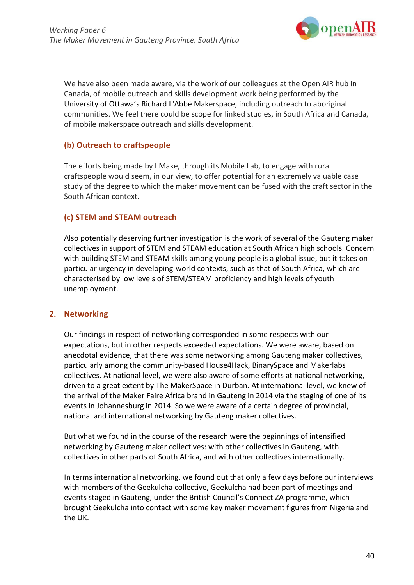

We have also been made aware, via the work of our colleagues at the Open AIR hub in Canada, of mobile outreach and skills development work being performed by the University of Ottawa's Richard L'Abbé Makerspace, including outreach to aboriginal communities. We feel there could be scope for linked studies, in South Africa and Canada, of mobile makerspace outreach and skills development.

## **(b) Outreach to craftspeople**

The efforts being made by I Make, through its Mobile Lab, to engage with rural craftspeople would seem, in our view, to offer potential for an extremely valuable case study of the degree to which the maker movement can be fused with the craft sector in the South African context.

## **(c) STEM and STEAM outreach**

Also potentially deserving further investigation is the work of several of the Gauteng maker collectives in support of STEM and STEAM education at South African high schools. Concern with building STEM and STEAM skills among young people is a global issue, but it takes on particular urgency in developing-world contexts, such as that of South Africa, which are characterised by low levels of STEM/STEAM proficiency and high levels of youth unemployment.

## **2. Networking**

Our findings in respect of networking corresponded in some respects with our expectations, but in other respects exceeded expectations. We were aware, based on anecdotal evidence, that there was some networking among Gauteng maker collectives, particularly among the community-based House4Hack, BinarySpace and Makerlabs collectives. At national level, we were also aware of some efforts at national networking, driven to a great extent by The MakerSpace in Durban. At international level, we knew of the arrival of the Maker Faire Africa brand in Gauteng in 2014 via the staging of one of its events in Johannesburg in 2014. So we were aware of a certain degree of provincial, national and international networking by Gauteng maker collectives.

But what we found in the course of the research were the beginnings of intensified networking by Gauteng maker collectives: with other collectives in Gauteng, with collectives in other parts of South Africa, and with other collectives internationally.

In terms international networking, we found out that only a few days before our interviews with members of the Geekulcha collective, Geekulcha had been part of meetings and events staged in Gauteng, under the British Council's Connect ZA programme, which brought Geekulcha into contact with some key maker movement figures from Nigeria and the UK.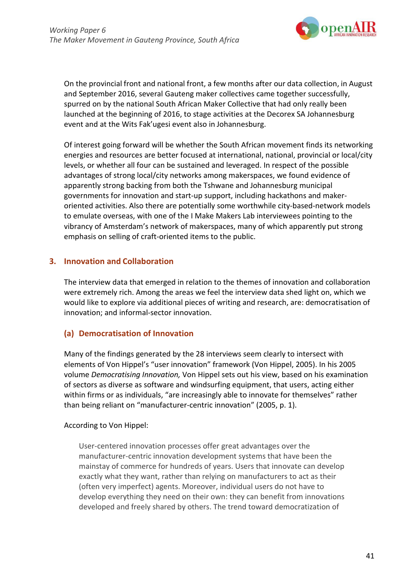

On the provincial front and national front, a few months after our data collection, in August and September 2016, several Gauteng maker collectives came together successfully, spurred on by the national South African Maker Collective that had only really been launched at the beginning of 2016, to stage activities at the Decorex SA Johannesburg event and at the Wits Fak'ugesi event also in Johannesburg.

Of interest going forward will be whether the South African movement finds its networking energies and resources are better focused at international, national, provincial or local/city levels, or whether all four can be sustained and leveraged. In respect of the possible advantages of strong local/city networks among makerspaces, we found evidence of apparently strong backing from both the Tshwane and Johannesburg municipal governments for innovation and start-up support, including hackathons and makeroriented activities. Also there are potentially some worthwhile city-based-network models to emulate overseas, with one of the I Make Makers Lab interviewees pointing to the vibrancy of Amsterdam's network of makerspaces, many of which apparently put strong emphasis on selling of craft-oriented items to the public.

## **3. Innovation and Collaboration**

The interview data that emerged in relation to the themes of innovation and collaboration were extremely rich. Among the areas we feel the interview data shed light on, which we would like to explore via additional pieces of writing and research, are: democratisation of innovation; and informal-sector innovation.

## **(a) Democratisation of Innovation**

Many of the findings generated by the 28 interviews seem clearly to intersect with elements of Von Hippel's "user innovation" framework (Von Hippel, 2005). In his 2005 volume *Democratising Innovation,* Von Hippel sets out his view, based on his examination of sectors as diverse as software and windsurfing equipment, that users, acting either within firms or as individuals, "are increasingly able to innovate for themselves" rather than being reliant on "manufacturer-centric innovation" (2005, p. 1).

## According to Von Hippel:

User-centered innovation processes offer great advantages over the manufacturer-centric innovation development systems that have been the mainstay of commerce for hundreds of years. Users that innovate can develop exactly what they want, rather than relying on manufacturers to act as their (often very imperfect) agents. Moreover, individual users do not have to develop everything they need on their own: they can benefit from innovations developed and freely shared by others. The trend toward democratization of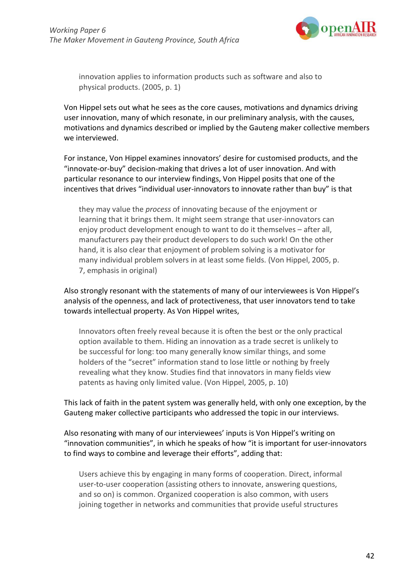

innovation applies to information products such as software and also to physical products. (2005, p. 1)

Von Hippel sets out what he sees as the core causes, motivations and dynamics driving user innovation, many of which resonate, in our preliminary analysis, with the causes, motivations and dynamics described or implied by the Gauteng maker collective members we interviewed.

For instance, Von Hippel examines innovators' desire for customised products, and the "innovate-or-buy" decision-making that drives a lot of user innovation. And with particular resonance to our interview findings, Von Hippel posits that one of the incentives that drives "individual user-innovators to innovate rather than buy" is that

they may value the *process* of innovating because of the enjoyment or learning that it brings them. It might seem strange that user-innovators can enjoy product development enough to want to do it themselves – after all, manufacturers pay their product developers to do such work! On the other hand, it is also clear that enjoyment of problem solving is a motivator for many individual problem solvers in at least some fields. (Von Hippel, 2005, p. 7, emphasis in original)

Also strongly resonant with the statements of many of our interviewees is Von Hippel's analysis of the openness, and lack of protectiveness, that user innovators tend to take towards intellectual property. As Von Hippel writes,

Innovators often freely reveal because it is often the best or the only practical option available to them. Hiding an innovation as a trade secret is unlikely to be successful for long: too many generally know similar things, and some holders of the "secret" information stand to lose little or nothing by freely revealing what they know. Studies find that innovators in many fields view patents as having only limited value. (Von Hippel, 2005, p. 10)

This lack of faith in the patent system was generally held, with only one exception, by the Gauteng maker collective participants who addressed the topic in our interviews.

Also resonating with many of our interviewees' inputs is Von Hippel's writing on "innovation communities", in which he speaks of how "it is important for user-innovators to find ways to combine and leverage their efforts", adding that:

Users achieve this by engaging in many forms of cooperation. Direct, informal user-to-user cooperation (assisting others to innovate, answering questions, and so on) is common. Organized cooperation is also common, with users joining together in networks and communities that provide useful structures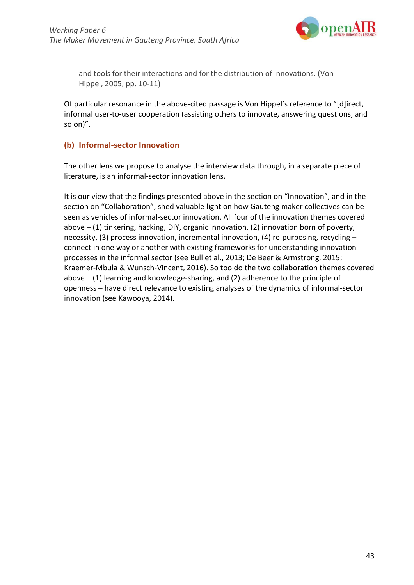

and tools for their interactions and for the distribution of innovations. (Von Hippel, 2005, pp. 10-11)

Of particular resonance in the above-cited passage is Von Hippel's reference to "[d]irect, informal user-to-user cooperation (assisting others to innovate, answering questions, and so on)".

### **(b) Informal-sector Innovation**

The other lens we propose to analyse the interview data through, in a separate piece of literature, is an informal-sector innovation lens.

It is our view that the findings presented above in the section on "Innovation", and in the section on "Collaboration", shed valuable light on how Gauteng maker collectives can be seen as vehicles of informal-sector innovation. All four of the innovation themes covered above – (1) tinkering, hacking, DIY, organic innovation, (2) innovation born of poverty, necessity, (3) process innovation, incremental innovation, (4) re-purposing, recycling – connect in one way or another with existing frameworks for understanding innovation processes in the informal sector (see Bull et al., 2013; De Beer & Armstrong, 2015; Kraemer-Mbula & Wunsch-Vincent, 2016). So too do the two collaboration themes covered above  $-$  (1) learning and knowledge-sharing, and (2) adherence to the principle of openness – have direct relevance to existing analyses of the dynamics of informal-sector innovation (see Kawooya, 2014).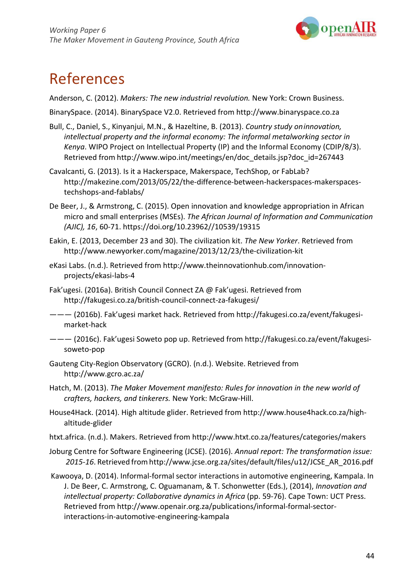

## References

Anderson, C. (2012). *Makers: The new industrial revolution.* New York: Crown Business.

BinarySpace. (2014). [BinarySpace V2.0.](http://www.binaryspace.co.za/?p=384) Retrieved from [http://www.binaryspace.co.za](http://www.binaryspace.co.za/)

- Bull, C., Daniel, S., Kinyanjui, M.N., & Hazeltine, B. (2013). *Country study oninnovation, intellectual property and the informal economy: The informal metalworking sector in Kenya*. WIPO Project on Intellectual Property (IP) and the Informal Economy (CDIP/8/3). Retrieved from [http://www.wipo.int/meetings/en/doc\\_details.jsp?doc\\_id=267443](http://www.wipo.int/meetings/en/doc_details.jsp?doc_id=267443)
- Cavalcanti, G. (2013). Is it a Hackerspace, Makerspace, TechShop, or FabLab[?](http://makezine.com/2013/05/22/the-difference-between-hackerspaces-makerspaces-) [http://makezine.com/2013/05/22/the-difference-between-hackerspaces-makerspaces](http://makezine.com/2013/05/22/the-difference-between-hackerspaces-makerspaces-)techshops-and-fablabs/
- De Beer, J., & Armstrong, C. (2015). Open innovation and knowledge appropriation in African micro and small enterprises (MSEs). *The African Journal of Information and Communication (AJIC), 16*, 60-71. https://doi.org/10.23962//10539/19315
- Eakin, E. (2013, December 23 and 30). The civilization kit. *The New Yorker*. Retrieved fro[m](http://www.newyorker.com/magazine/2013/12/23/the-civilization-kit) <http://www.newyorker.com/magazine/2013/12/23/the-civilization-kit>
- eKasi Labs. (n.d.). Retrie[ved from http://www.theinnovationhub.com/innovation](http://www.theinnovationhub.com/innovation-)projects/ekasi-labs-4
- Fak'ugesi. (2016a). British Council Connect ZA @ Fak'ugesi. Retrieved fro[m](http://fakugesi.co.za/british-council-connect-za-fakugesi/) <http://fakugesi.co.za/british-council-connect-za-fakugesi/>
- ——— (2016b). Fak'ugesi market hack. Retrieved from [http://fakugesi.co.za/event/fakugesi](http://fakugesi.co.za/event/fakugesi-)market-hack
- ——— (2016c). Fak'ugesi Soweto pop up. Retrieved from [http://fakugesi.co.za/event/fakugesi](http://fakugesi.co.za/event/fakugesi-)soweto-pop
- Gauteng City-Region Observatory (GCRO). (n.d.). Website. Retrieved fro[m](http://www.gcro.ac.za/) <http://www.gcro.ac.za/>
- Hatch, M. (2013). *The Maker Movement manifesto: Rules for innovation in the new world of crafters, hackers, and tinkerers.* New York: McGraw-Hill.
- House4Hack. (2014). High altitude glider. Retrieved fro[m http://www.house4hack.co.za/high](http://www.house4hack.co.za/high-)altitude-glider
- htxt.africa. (n.d.). Makers. Retrieved from<http://www.htxt.co.za/features/categories/makers>
- Joburg Centre for Software Engineering (JCSE). (2016). *Annual report: The transformation issue: 2015-16*. Retrieved fro[mhttp://www.jcse.org.za/sites/default/files/u12/JCSE\\_AR\\_2016.pdf](http://www.jcse.org.za/sites/default/files/u12/JCSE_AR_2016.pdf)
- Kawooya, D. (2014). Informal-formal sector interactions in automotive engineering, Kampala. In J. De Beer, C. Armstrong, C. Oguamanam, & T. Schonwetter (Eds.), (2014), *Innovation and intellectual property: Collaborative dynamics in Africa* (pp. 59-76). Cape Town: UCT Press. Retrieved from [http://www.openair.org.za/publications/informal-formal-sector](http://www.openair.org.za/publications/informal-formal-sector-)interactions-in-automotive-engineering-kampala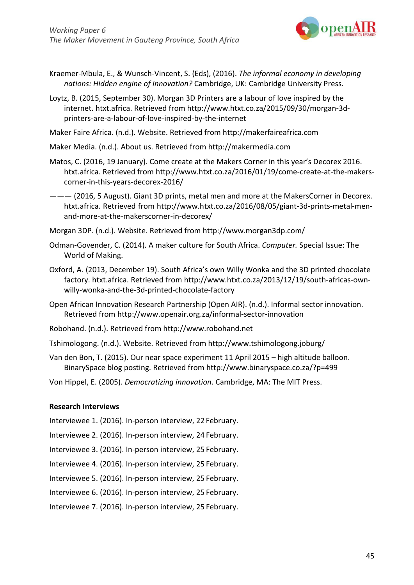

- Kraemer-Mbula, E., & Wunsch-Vincent, S. (Eds), (2016). *The informal economy in developing nations: Hidden engine of innovation?* Cambridge, UK: Cambridge University Press.
- Loytz, B. (2015, September 30). Morgan 3D Printers are a labour of love inspired by the internet. htxt.africa. Ret[rieved from http://www.htxt.co.za/2015/09/30/morgan-3d](http://www.htxt.co.za/2015/09/30/morgan-3d-)printers-are-a-labour-of-love-inspired-by-the-internet
- Maker Faire Africa. (n.d.). Website. Retrieved from [http://makerfaireafrica.com](http://makerfaireafrica.com/)

Maker Media. (n.d.). About us. Retrieved from [http://makermedia.com](http://makermedia.com/)

- Matos, C. (2016, 19 January). Come create at the Makers Corner in this year's Decorex 2016. htxt.africa. Retrieved from [http://www.htxt.co.za/2016/01/19/come-create-at-the-makers](http://www.htxt.co.za/2016/01/19/come-create-at-the-makers-)corner-in-this-years-decorex-2016/
- ——— (2016, 5 August). Giant 3D prints, metal men and more at the MakersCorner in Decorex. htxt.africa. Retrieved from [http://www.htxt.co.za/2016/08/05/giant-3d-prints-metal-men](http://www.htxt.co.za/2016/08/05/giant-3d-prints-metal-men-)and-more-at-the-makerscorner-in-decorex/
- Morgan 3DP. (n.d.). Website. Retrieved from<http://www.morgan3dp.com/>
- Odman-Govender, C. (2014). A maker culture for South Africa. *Computer.* Special Issue: The World of Making.
- Oxford, A. (2013, December 19). South Africa's own Willy Wonka and the 3D printed chocolate factory. htxt.africa. Retr[ieved from http://www.htxt.co.za/2013/12/19/south-africas-own](http://www.htxt.co.za/2013/12/19/south-africas-own-)willy-wonka-and-the-3d-printed-chocolate-factory
- Open African Innovation Research Partnership (Open AIR). (n.d.). Informal sector innovation. Retrieved from<http://www.openair.org.za/informal-sector-innovation>
- Robohand. (n.d.). Retrieved from [http://www.robohand.net](http://www.robohand.net/)
- Tshimologong. (n.d.). Website. Retrieved [from http://www.tshimologong.joburg/](http://www.tshimologong.joburg/)
- Van den Bon, T. (2015). Our near space experiment 11 April 2015 high altitude balloon. BinarySpace blog posting. Retrieved fro[m http://www.binaryspace.co.za/?p=499](http://www.binaryspace.co.za/?p=499)
- Von Hippel, E. (2005). *Democratizing innovation.* Cambridge, MA: The MIT Press.

#### **Research Interviews**

- Interviewee 1. (2016). In-person interview, 22 February.
- Interviewee 2. (2016). In-person interview, 24 February.
- Interviewee 3. (2016). In-person interview, 25 February.
- Interviewee 4. (2016). In-person interview, 25 February.
- Interviewee 5. (2016). In-person interview, 25 February.
- Interviewee 6. (2016). In-person interview, 25 February.
- Interviewee 7. (2016). In-person interview, 25 February.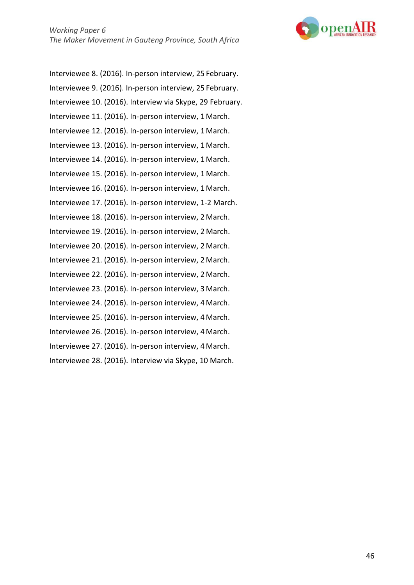

Interviewee 8. (2016). In-person interview, 25 February. Interviewee 9. (2016). In-person interview, 25 February. Interviewee 10. (2016). Interview via Skype, 29 February. Interviewee 11. (2016). In-person interview, 1 March. Interviewee 12. (2016). In-person interview, 1 March. Interviewee 13. (2016). In-person interview, 1 March. Interviewee 14. (2016). In-person interview, 1 March. Interviewee 15. (2016). In-person interview, 1 March. Interviewee 16. (2016). In-person interview, 1 March. Interviewee 17. (2016). In-person interview, 1-2 March. Interviewee 18. (2016). In-person interview, 2 March. Interviewee 19. (2016). In-person interview, 2 March. Interviewee 20. (2016). In-person interview, 2 March. Interviewee 21. (2016). In-person interview, 2 March. Interviewee 22. (2016). In-person interview, 2 March. Interviewee 23. (2016). In-person interview, 3 March. Interviewee 24. (2016). In-person interview, 4 March. Interviewee 25. (2016). In-person interview, 4 March. Interviewee 26. (2016). In-person interview, 4 March. Interviewee 27. (2016). In-person interview, 4 March. Interviewee 28. (2016). Interview via Skype, 10 March.